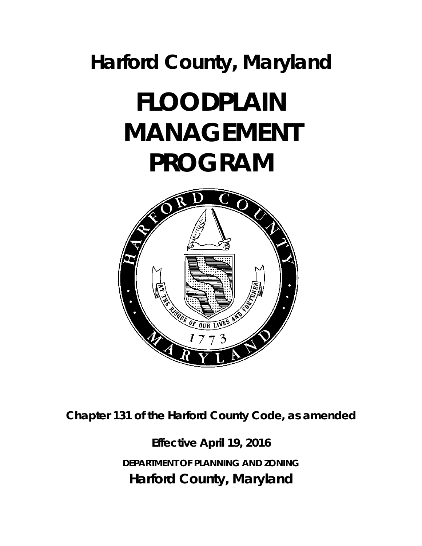## **Harford County, Maryland**

# **FLOODPLAIN MANAGEMENT PROGRAM**



**Chapter 131 of the Harford County Code, as amended** 

**Effective April 19, 2016**  *DEPARTMENT OF PLANNING AND ZONING*  **Harford County, Maryland**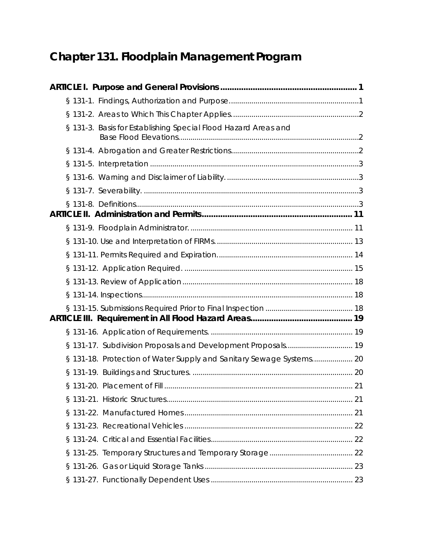## **Chapter 131. Floodplain Management Program**

| § 131-3. Basis for Establishing Special Flood Hazard Areas and      |  |
|---------------------------------------------------------------------|--|
|                                                                     |  |
|                                                                     |  |
|                                                                     |  |
|                                                                     |  |
|                                                                     |  |
|                                                                     |  |
|                                                                     |  |
|                                                                     |  |
|                                                                     |  |
|                                                                     |  |
|                                                                     |  |
|                                                                     |  |
|                                                                     |  |
| § 131-17. Subdivision Proposals and Development Proposals 19        |  |
| § 131-18. Protection of Water Supply and Sanitary Sewage Systems 20 |  |
|                                                                     |  |
|                                                                     |  |
|                                                                     |  |
|                                                                     |  |
|                                                                     |  |
|                                                                     |  |
|                                                                     |  |
|                                                                     |  |
|                                                                     |  |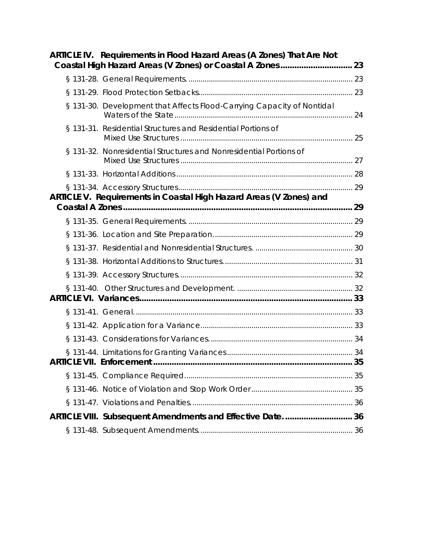| ARTICLE IV. Requirements in Flood Hazard Areas (A Zones) That Are Not  |  |
|------------------------------------------------------------------------|--|
|                                                                        |  |
|                                                                        |  |
| § 131-30. Development that Affects Flood-Carrying Capacity of Nontidal |  |
| § 131-31. Residential Structures and Residential Portions of           |  |
| § 131-32. Nonresidential Structures and Nonresidential Portions of     |  |
|                                                                        |  |
|                                                                        |  |
| ARTICLE V. Requirements in Coastal High Hazard Areas (V Zones) and     |  |
|                                                                        |  |
|                                                                        |  |
|                                                                        |  |
|                                                                        |  |
|                                                                        |  |
|                                                                        |  |
|                                                                        |  |
|                                                                        |  |
|                                                                        |  |
|                                                                        |  |
|                                                                        |  |
|                                                                        |  |
|                                                                        |  |
| ARTICLE VIII. Subsequent Amendments and Effective Date36               |  |
|                                                                        |  |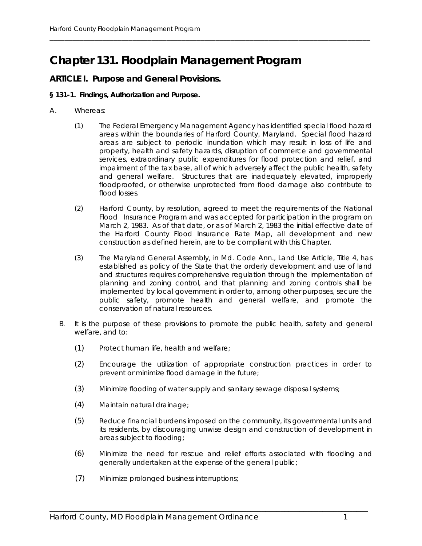### **Chapter 131. Floodplain Management Program**

\_\_\_\_\_\_\_\_\_\_\_\_\_\_\_\_\_\_\_\_\_\_\_\_\_\_\_\_\_\_\_\_\_\_\_\_\_\_\_\_\_\_\_\_\_\_\_\_\_\_\_\_\_\_\_\_\_\_\_\_\_\_\_\_\_\_\_\_\_\_\_\_\_\_\_\_\_\_\_\_\_\_\_\_\_

#### **ARTICLE I. Purpose and General Provisions.**

#### **§ 131-1. Findings, Authorization and Purpose.**

- A. Whereas:
	- (1) The Federal Emergency Management Agency has identified special flood hazard areas within the boundaries of Harford County, Maryland. Special flood hazard areas are subject to periodic inundation which may result in loss of life and property, health and safety hazards, disruption of commerce and governmental services, extraordinary public expenditures for flood protection and relief, and impairment of the tax base, all of which adversely affect the public health, safety and general welfare. Structures that are inadequately elevated, improperly floodproofed, or otherwise unprotected from flood damage also contribute to flood losses.
	- (2) Harford County, by resolution, agreed to meet the requirements of the National Flood Insurance Program and was accepted for participation in the program on March 2, 1983. As of that date, or as of March 2, 1983 the initial effective date of the Harford County Flood Insurance Rate Map, all development and new construction as defined herein, are to be compliant with this Chapter.
	- (3) The Maryland General Assembly, in Md. Code Ann., Land Use Article, Title 4, has established as policy of the State that the orderly development and use of land and structures requires comprehensive regulation through the implementation of planning and zoning control, and that planning and zoning controls shall be implemented by local government in order to, among other purposes, secure the public safety, promote health and general welfare, and promote the conservation of natural resources.
	- B. It is the purpose of these provisions to promote the public health, safety and general welfare, and to:
		- (1) Protect human life, health and welfare;
		- (2) Encourage the utilization of appropriate construction practices in order to prevent or minimize flood damage in the future;
		- (3) Minimize flooding of water supply and sanitary sewage disposal systems;
		- (4) Maintain natural drainage;
		- (5) Reduce financial burdens imposed on the community, its governmental units and its residents, by discouraging unwise design and construction of development in areas subject to flooding;
		- (6) Minimize the need for rescue and relief efforts associated with flooding and generally undertaken at the expense of the general public;

\_\_\_\_\_\_\_\_\_\_\_\_\_\_\_\_\_\_\_\_\_\_\_\_\_\_\_\_\_\_\_\_\_\_\_\_\_\_\_\_\_\_\_\_\_\_\_\_\_\_\_\_\_\_\_\_\_\_\_\_\_\_\_\_\_\_\_\_\_\_\_\_\_\_\_\_\_\_\_\_\_\_\_\_

(7) Minimize prolonged business interruptions;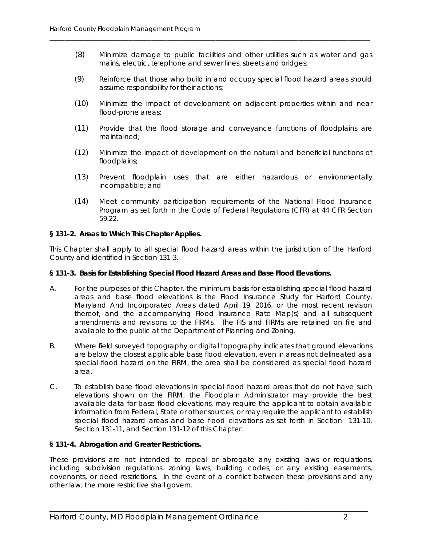(8) Minimize damage to public facilities and other utilities such as water and gas mains, electric, telephone and sewer lines, streets and bridges;

\_\_\_\_\_\_\_\_\_\_\_\_\_\_\_\_\_\_\_\_\_\_\_\_\_\_\_\_\_\_\_\_\_\_\_\_\_\_\_\_\_\_\_\_\_\_\_\_\_\_\_\_\_\_\_\_\_\_\_\_\_\_\_\_\_\_\_\_\_\_\_\_\_\_\_\_\_\_\_\_\_\_\_\_\_

- (9) Reinforce that those who build in and occupy special flood hazard areas should assume responsibility for their actions;
- (10) Minimize the impact of development on adjacent properties within and near flood-prone areas;
- (11) Provide that the flood storage and conveyance functions of floodplains are maintained;
- (12) Minimize the impact of development on the natural and beneficial functions of floodplains;
- (13) Prevent floodplain uses that are either hazardous or environmentally incompatible; and
- (14) Meet community participation requirements of the National Flood Insurance Program as set forth in the Code of Federal Regulations (CFR) at 44 CFR Section 59.22.

#### **§ 131-2. Areas to Which This Chapter Applies.**

This Chapter shall apply to all special flood hazard areas within the jurisdiction of the Harford County and identified in Section 131-3.

#### **§ 131-3. Basis for Establishing Special Flood Hazard Areas and Base Flood Elevations.**

- A. For the purposes of this Chapter, the minimum basis for establishing special flood hazard areas and base flood elevations is the Flood Insurance Study for Harford County, Maryland And Incorporated Areas dated April 19, 2016, or the most recent revision thereof, and the accompanying Flood Insurance Rate Map(s) and all subsequent amendments and revisions to the FIRMs. The FIS and FIRMs are retained on file and available to the public at the Department of Planning and Zoning.
- B. Where field surveyed topography or digital topography indicates that ground elevations are below the closest applicable base flood elevation, even in areas not delineated as a special flood hazard on the FIRM, the area shall be considered as special flood hazard area.
- C. To establish base flood elevations in special flood hazard areas that do not have such elevations shown on the FIRM, the Floodplain Administrator may provide the best available data for base flood elevations, may require the applicant to obtain available information from Federal, State or other sources, or may require the applicant to establish special flood hazard areas and base flood elevations as set forth in Section 131-10, Section 131-11, and Section 131-12 of this Chapter.

#### **§ 131-4. Abrogation and Greater Restrictions.**

These provisions are not intended to repeal or abrogate any existing laws or regulations, including subdivision regulations, zoning laws, building codes, or any existing easements, covenants, or deed restrictions. In the event of a conflict between these provisions and any other law, the more restrictive shall govern.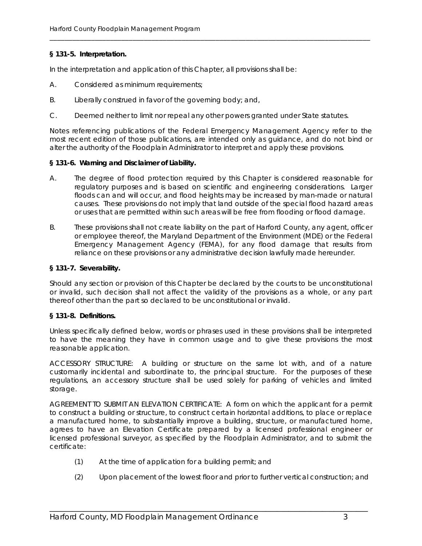#### **§ 131-5. Interpretation.**

In the interpretation and application of this Chapter, all provisions shall be:

- A. Considered as minimum requirements;
- B. Liberally construed in favor of the governing body; and,
- C. Deemed neither to limit nor repeal any other powers granted under State statutes.

Notes referencing publications of the Federal Emergency Management Agency refer to the most recent edition of those publications, are intended only as guidance, and do not bind or alter the authority of the Floodplain Administrator to interpret and apply these provisions.

\_\_\_\_\_\_\_\_\_\_\_\_\_\_\_\_\_\_\_\_\_\_\_\_\_\_\_\_\_\_\_\_\_\_\_\_\_\_\_\_\_\_\_\_\_\_\_\_\_\_\_\_\_\_\_\_\_\_\_\_\_\_\_\_\_\_\_\_\_\_\_\_\_\_\_\_\_\_\_\_\_\_\_\_\_

#### **§ 131-6. Warning and Disclaimer of Liability.**

- A. The degree of flood protection required by this Chapter is considered reasonable for regulatory purposes and is based on scientific and engineering considerations. Larger floods can and will occur, and flood heights may be increased by man-made or natural causes. These provisions do not imply that land outside of the special flood hazard areas or uses that are permitted within such areas will be free from flooding or flood damage.
- B. These provisions shall not create liability on the part of Harford County, any agent, officer or employee thereof, the Maryland Department of the Environment (MDE) or the Federal Emergency Management Agency (FEMA), for any flood damage that results from reliance on these provisions or any administrative decision lawfully made hereunder.

#### **§ 131-7. Severability.**

Should any section or provision of this Chapter be declared by the courts to be unconstitutional or invalid, such decision shall not affect the validity of the provisions as a whole, or any part thereof other than the part so declared to be unconstitutional or invalid.

#### **§ 131-8. Definitions.**

Unless specifically defined below, words or phrases used in these provisions shall be interpreted to have the meaning they have in common usage and to give these provisions the most reasonable application.

ACCESSORY STRUCTURE: A building or structure on the same lot with, and of a nature customarily incidental and subordinate to, the principal structure. For the purposes of these regulations, an accessory structure shall be used solely for parking of vehicles and limited storage.

AGREEMENT TO SUBMIT AN ELEVATION CERTIFICATE: A form on which the applicant for a permit to construct a building or structure, to construct certain horizontal additions, to place or replace a manufactured home, to substantially improve a building, structure, or manufactured home, agrees to have an Elevation Certificate prepared by a licensed professional engineer or licensed professional surveyor, as specified by the Floodplain Administrator, and to submit the certificate:

- (1) At the time of application for a building permit; and
- (2) Upon placement of the lowest floor and prior to further vertical construction; and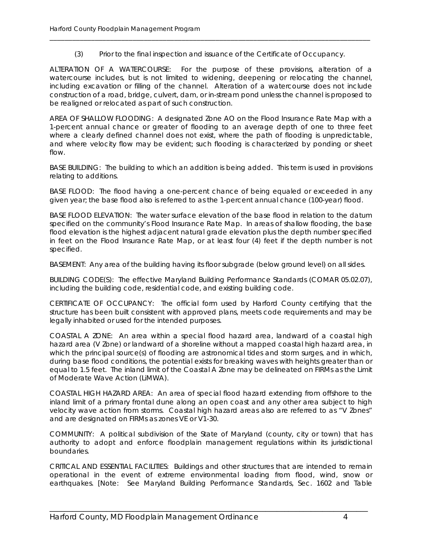(3) Prior to the final inspection and issuance of the Certificate of Occupancy.

\_\_\_\_\_\_\_\_\_\_\_\_\_\_\_\_\_\_\_\_\_\_\_\_\_\_\_\_\_\_\_\_\_\_\_\_\_\_\_\_\_\_\_\_\_\_\_\_\_\_\_\_\_\_\_\_\_\_\_\_\_\_\_\_\_\_\_\_\_\_\_\_\_\_\_\_\_\_\_\_\_\_\_\_\_

ALTERATION OF A WATERCOURSE: For the purpose of these provisions, alteration of a watercourse includes, but is not limited to widening, deepening or relocating the channel, including excavation or filling of the channel. Alteration of a watercourse does not include construction of a road, bridge, culvert, dam, or in-stream pond unless the channel is proposed to be realigned or relocated as part of such construction.

AREA OF SHALLOW FLOODING: A designated Zone AO on the Flood Insurance Rate Map with a 1-percent annual chance or greater of flooding to an average depth of one to three feet where a clearly defined channel does not exist, where the path of flooding is unpredictable, and where velocity flow may be evident; such flooding is characterized by ponding or sheet flow.

BASE BUILDING: The building to which an addition is being added. This term is used in provisions relating to additions.

BASE FLOOD: The flood having a one-percent chance of being equaled or exceeded in any given year; the base flood also is referred to as the 1-percent annual chance (100-year) flood.

BASE FLOOD ELEVATION: The water surface elevation of the base flood in relation to the datum specified on the community's Flood Insurance Rate Map. In areas of shallow flooding, the base flood elevation is the highest adjacent natural grade elevation plus the depth number specified in feet on the Flood Insurance Rate Map, or at least four (4) feet if the depth number is not specified.

BASEMENT: Any area of the building having its floor subgrade (below ground level) on all sides.

BUILDING CODE(S): The effective Maryland Building Performance Standards (COMAR 05.02.07), including the building code, residential code, and existing building code.

CERTIFICATE OF OCCUPANCY: The official form used by Harford County certifying that the structure has been built consistent with approved plans, meets code requirements and may be legally inhabited or used for the intended purposes.

COASTAL A ZONE: An area within a special flood hazard area, landward of a coastal high hazard area (V Zone) or landward of a shoreline without a mapped coastal high hazard area, in which the principal source(s) of flooding are astronomical tides and storm surges, and in which, during base flood conditions, the potential exists for breaking waves with heights greater than or equal to 1.5 feet. The inland limit of the Coastal A Zone may be delineated on FIRMs as the Limit of Moderate Wave Action (LiMWA).

COASTAL HIGH HAZARD AREA: An area of special flood hazard extending from offshore to the inland limit of a primary frontal dune along an open coast and any other area subject to high velocity wave action from storms. Coastal high hazard areas also are referred to as "V Zones" and are designated on FIRMs as zones VE or V1-30.

COMMUNITY: A political subdivision of the State of Maryland (county, city or town) that has authority to adopt and enforce floodplain management regulations within its jurisdictional boundaries.

CRITICAL AND ESSENTIAL FACILITIES: Buildings and other structures that are intended to remain operational in the event of extreme environmental loading from flood, wind, snow or earthquakes. [Note: See Maryland Building Performance Standards, Sec. 1602 and Table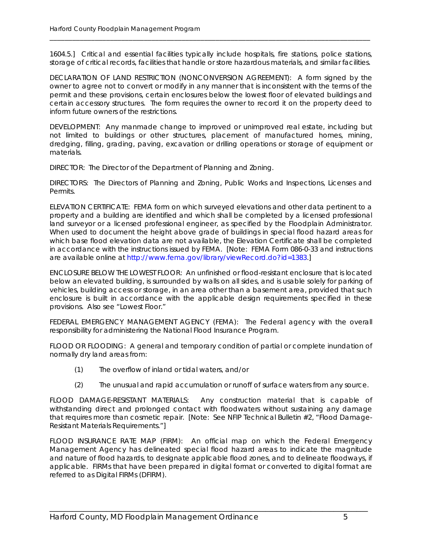1604.5.] Critical and essential facilities typically include hospitals, fire stations, police stations, storage of critical records, facilities that handle or store hazardous materials, and similar facilities.

\_\_\_\_\_\_\_\_\_\_\_\_\_\_\_\_\_\_\_\_\_\_\_\_\_\_\_\_\_\_\_\_\_\_\_\_\_\_\_\_\_\_\_\_\_\_\_\_\_\_\_\_\_\_\_\_\_\_\_\_\_\_\_\_\_\_\_\_\_\_\_\_\_\_\_\_\_\_\_\_\_\_\_\_\_

DECLARATION OF LAND RESTRICTION (NONCONVERSION AGREEMENT): A form signed by the owner to agree not to convert or modify in any manner that is inconsistent with the terms of the permit and these provisions, certain enclosures below the lowest floor of elevated buildings and certain accessory structures. The form requires the owner to record it on the property deed to inform future owners of the restrictions.

DEVELOPMENT: Any manmade change to improved or unimproved real estate, including but not limited to buildings or other structures, placement of manufactured homes, mining, dredging, filling, grading, paving, excavation or drilling operations or storage of equipment or materials.

DIRECTOR: The Director of the Department of Planning and Zoning.

DIRECTORS: The Directors of Planning and Zoning, Public Works and Inspections, Licenses and Permits.

ELEVATION CERTIFICATE: FEMA form on which surveyed elevations and other data pertinent to a property and a building are identified and which shall be completed by a licensed professional land surveyor or a licensed professional engineer, as specified by the Floodplain Administrator. When used to document the height above grade of buildings in special flood hazard areas for which base flood elevation data are not available, the Elevation Certificate shall be completed in accordance with the instructions issued by FEMA. [Note: FEMA Form 086-0-33 and instructions are available online at http://www.fema.gov/library/viewRecord.do?id=1383.]

ENCLOSURE BELOW THE LOWEST FLOOR: An unfinished or flood-resistant enclosure that is located below an elevated building, is surrounded by walls on all sides, and is usable solely for parking of vehicles, building access or storage, in an area other than a basement area, provided that such enclosure is built in accordance with the applicable design requirements specified in these provisions. Also see "Lowest Floor."

FEDERAL EMERGENCY MANAGEMENT AGENCY (FEMA): The Federal agency with the overall responsibility for administering the National Flood Insurance Program.

FLOOD OR FLOODING: A general and temporary condition of partial or complete inundation of normally dry land areas from:

- (1) The overflow of inland or tidal waters, and/or
- (2) The unusual and rapid accumulation or runoff of surface waters from any source.

FLOOD DAMAGE-RESISTANT MATERIALS: Any construction material that is capable of withstanding direct and prolonged contact with floodwaters without sustaining any damage that requires more than cosmetic repair. [Note: See NFIP Technical Bulletin #2, "Flood Damage-Resistant Materials Requirements."]

FLOOD INSURANCE RATE MAP (FIRM): An official map on which the Federal Emergency Management Agency has delineated special flood hazard areas to indicate the magnitude and nature of flood hazards, to designate applicable flood zones, and to delineate floodways, if applicable. FIRMs that have been prepared in digital format or converted to digital format are referred to as Digital FIRMs (DFIRM).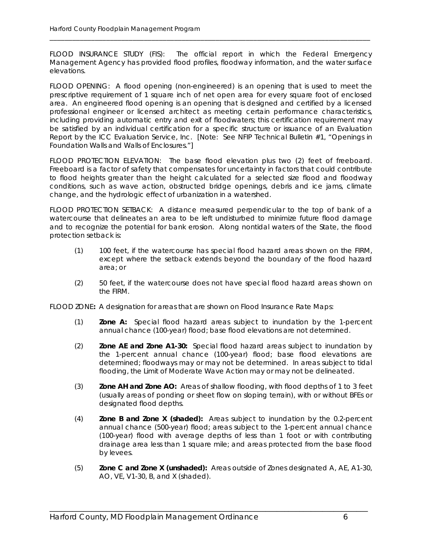FLOOD INSURANCE STUDY (FIS): The official report in which the Federal Emergency Management Agency has provided flood profiles, floodway information, and the water surface elevations.

\_\_\_\_\_\_\_\_\_\_\_\_\_\_\_\_\_\_\_\_\_\_\_\_\_\_\_\_\_\_\_\_\_\_\_\_\_\_\_\_\_\_\_\_\_\_\_\_\_\_\_\_\_\_\_\_\_\_\_\_\_\_\_\_\_\_\_\_\_\_\_\_\_\_\_\_\_\_\_\_\_\_\_\_\_

FLOOD OPENING: A flood opening (non-engineered) is an opening that is used to meet the prescriptive requirement of 1 square inch of net open area for every square foot of enclosed area. An engineered flood opening is an opening that is designed and certified by a licensed professional engineer or licensed architect as meeting certain performance characteristics, including providing automatic entry and exit of floodwaters; this certification requirement may be satisfied by an individual certification for a specific structure or issuance of an Evaluation Report by the ICC Evaluation Service, Inc. [Note: See NFIP Technical Bulletin #1, "Openings in Foundation Walls and Walls of Enclosures."]

FLOOD PROTECTION ELEVATION: The base flood elevation plus two (2) feet of freeboard. Freeboard is a factor of safety that compensates for uncertainty in factors that could contribute to flood heights greater than the height calculated for a selected size flood and floodway conditions, such as wave action, obstructed bridge openings, debris and ice jams, climate change, and the hydrologic effect of urbanization in a watershed.

FLOOD PROTECTION SETBACK: A distance measured perpendicular to the top of bank of a watercourse that delineates an area to be left undisturbed to minimize future flood damage and to recognize the potential for bank erosion. Along nontidal waters of the State, the flood protection setback is:

- (1) 100 feet, if the watercourse has special flood hazard areas shown on the FIRM, except where the setback extends beyond the boundary of the flood hazard area; or
- (2) 50 feet, if the watercourse does not have special flood hazard areas shown on the FIRM.

FLOOD ZONE**:** A designation for areas that are shown on Flood Insurance Rate Maps:

- (1) **Zone A:** Special flood hazard areas subject to inundation by the 1-percent annual chance (100-year) flood; base flood elevations are not determined.
- (2) **Zone AE and Zone A1-30:** Special flood hazard areas subject to inundation by the 1-percent annual chance (100-year) flood; base flood elevations are determined; floodways may or may not be determined. In areas subject to tidal flooding, the Limit of Moderate Wave Action may or may not be delineated.
- (3) **Zone AH and Zone AO:** Areas of shallow flooding, with flood depths of 1 to 3 feet (usually areas of ponding or sheet flow on sloping terrain), with or without BFEs or designated flood depths.
- (4) **Zone B and Zone X (shaded):** Areas subject to inundation by the 0.2-percent annual chance (500-year) flood; areas subject to the 1-percent annual chance (100-year) flood with average depths of less than 1 foot or with contributing drainage area less than 1 square mile; and areas protected from the base flood by levees.
- (5) **Zone C and Zone X (unshaded):** Areas outside of Zones designated A, AE, A1-30, AO, VE, V1-30, B, and X (shaded).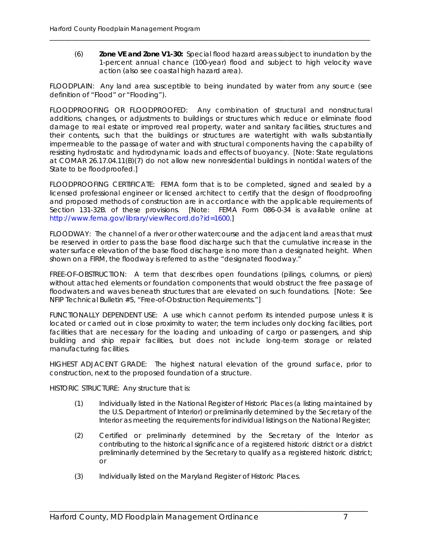(6) **Zone VE and Zone V1-30:** Special flood hazard areas subject to inundation by the 1-percent annual chance (100-year) flood and subject to high velocity wave action (also see coastal high hazard area).

FLOODPLAIN: Any land area susceptible to being inundated by water from any source (see definition of "Flood" or "Flooding").

\_\_\_\_\_\_\_\_\_\_\_\_\_\_\_\_\_\_\_\_\_\_\_\_\_\_\_\_\_\_\_\_\_\_\_\_\_\_\_\_\_\_\_\_\_\_\_\_\_\_\_\_\_\_\_\_\_\_\_\_\_\_\_\_\_\_\_\_\_\_\_\_\_\_\_\_\_\_\_\_\_\_\_\_\_

FLOODPROOFING OR FLOODPROOFED: Any combination of structural and nonstructural additions, changes, or adjustments to buildings or structures which reduce or eliminate flood damage to real estate or improved real property, water and sanitary facilities, structures and their contents, such that the buildings or structures are watertight with walls substantially impermeable to the passage of water and with structural components having the capability of resisting hydrostatic and hydrodynamic loads and effects of buoyancy. [Note: State regulations at COMAR 26.17.04.11(B)(7) do not allow new nonresidential buildings in nontidal waters of the State to be floodproofed.]

FLOODPROOFING CERTIFICATE: FEMA form that is to be completed, signed and sealed by a licensed professional engineer or licensed architect to certify that the design of floodproofing and proposed methods of construction are in accordance with the applicable requirements of Section 131-32B. of these provisions. [Note: FEMA Form 086-0-34 is available online at http://www.fema.gov/library/viewRecord.do?id=1600.]

FLOODWAY: The channel of a river or other watercourse and the adjacent land areas that must be reserved in order to pass the base flood discharge such that the cumulative increase in the water surface elevation of the base flood discharge is no more than a designated height. When shown on a FIRM, the floodway is referred to as the "designated floodway."

FREE-OF-OBSTRUCTION: A term that describes open foundations (pilings, columns, or piers) without attached elements or foundation components that would obstruct the free passage of floodwaters and waves beneath structures that are elevated on such foundations. [Note: See NFIP Technical Bulletin #5, "Free-of-Obstruction Requirements."]

FUNCTIONALLY DEPENDENT USE: A use which cannot perform its intended purpose unless it is located or carried out in close proximity to water; the term includes only docking facilities, port facilities that are necessary for the loading and unloading of cargo or passengers, and ship building and ship repair facilities, but does not include long-term storage or related manufacturing facilities.

HIGHEST ADJACENT GRADE: The highest natural elevation of the ground surface, prior to construction, next to the proposed foundation of a structure.

HISTORIC STRUCTURE: Any structure that is:

- (1) Individually listed in the National Register of Historic Places (a listing maintained by the U.S. Department of Interior) or preliminarily determined by the Secretary of the Interior as meeting the requirements for individual listings on the National Register;
- (2) Certified or preliminarily determined by the Secretary of the Interior as contributing to the historical significance of a registered historic district or a district preliminarily determined by the Secretary to qualify as a registered historic district; or

\_\_\_\_\_\_\_\_\_\_\_\_\_\_\_\_\_\_\_\_\_\_\_\_\_\_\_\_\_\_\_\_\_\_\_\_\_\_\_\_\_\_\_\_\_\_\_\_\_\_\_\_\_\_\_\_\_\_\_\_\_\_\_\_\_\_\_\_\_\_\_\_\_\_\_\_\_\_\_\_\_\_\_\_

(3) Individually listed on the Maryland Register of Historic Places.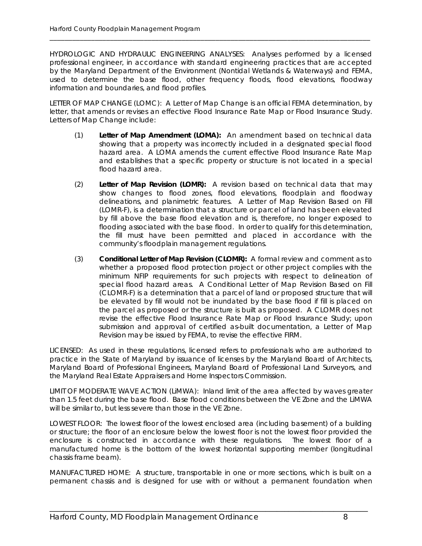HYDROLOGIC AND HYDRAULIC ENGINEERING ANALYSES: Analyses performed by a licensed professional engineer, in accordance with standard engineering practices that are accepted by the Maryland Department of the Environment (Nontidal Wetlands & Waterways) and FEMA, used to determine the base flood, other frequency floods, flood elevations, floodway information and boundaries, and flood profiles.

\_\_\_\_\_\_\_\_\_\_\_\_\_\_\_\_\_\_\_\_\_\_\_\_\_\_\_\_\_\_\_\_\_\_\_\_\_\_\_\_\_\_\_\_\_\_\_\_\_\_\_\_\_\_\_\_\_\_\_\_\_\_\_\_\_\_\_\_\_\_\_\_\_\_\_\_\_\_\_\_\_\_\_\_\_

LETTER OF MAP CHANGE (LOMC): A Letter of Map Change is an official FEMA determination, by letter, that amends or revises an effective Flood Insurance Rate Map or Flood Insurance Study. Letters of Map Change include:

- (1) **Letter of Map Amendment (LOMA):** An amendment based on technical data showing that a property was incorrectly included in a designated special flood hazard area. A LOMA amends the current effective Flood Insurance Rate Map and establishes that a specific property or structure is not located in a special flood hazard area.
- (2) **Letter of Map Revision (LOMR):** A revision based on technical data that may show changes to flood zones, flood elevations, floodplain and floodway delineations, and planimetric features. A Letter of Map Revision Based on Fill (LOMR-F), is a determination that a structure or parcel of land has been elevated by fill above the base flood elevation and is, therefore, no longer exposed to flooding associated with the base flood. In order to qualify for this determination, the fill must have been permitted and placed in accordance with the community's floodplain management regulations.
- (3) **Conditional Letter of Map Revision (CLOMR):** A formal review and comment as to whether a proposed flood protection project or other project complies with the minimum NFIP requirements for such projects with respect to delineation of special flood hazard areas. A Conditional Letter of Map Revision Based on Fill (CLOMR-F) is a determination that a parcel of land or proposed structure that will be elevated by fill would not be inundated by the base flood if fill is placed on the parcel as proposed or the structure is built as proposed. A CLOMR does not revise the effective Flood Insurance Rate Map or Flood Insurance Study; upon submission and approval of certified as-built documentation, a Letter of Map Revision may be issued by FEMA, to revise the effective FIRM.

LICENSED: As used in these regulations, licensed refers to professionals who are authorized to practice in the State of Maryland by issuance of licenses by the Maryland Board of Architects, Maryland Board of Professional Engineers, Maryland Board of Professional Land Surveyors, and the Maryland Real Estate Appraisers and Home Inspectors Commission.

LIMIT OF MODERATE WAVE ACTION (LiMWA): Inland limit of the area affected by waves greater than 1.5 feet during the base flood. Base flood conditions between the VE Zone and the LiMWA will be similar to, but less severe than those in the VE Zone.

LOWEST FLOOR: The lowest floor of the lowest enclosed area (including basement) of a building or structure; the floor of an enclosure below the lowest floor is not the lowest floor provided the enclosure is constructed in accordance with these regulations. The lowest floor of a manufactured home is the bottom of the lowest horizontal supporting member (longitudinal chassis frame beam).

MANUFACTURED HOME: A structure, transportable in one or more sections, which is built on a permanent chassis and is designed for use with or without a permanent foundation when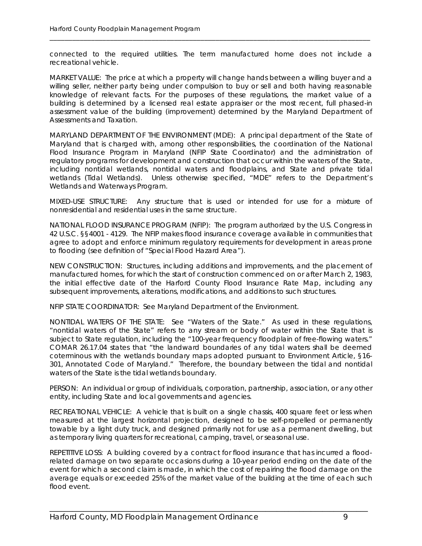connected to the required utilities. The term manufactured home does not include a recreational vehicle.

\_\_\_\_\_\_\_\_\_\_\_\_\_\_\_\_\_\_\_\_\_\_\_\_\_\_\_\_\_\_\_\_\_\_\_\_\_\_\_\_\_\_\_\_\_\_\_\_\_\_\_\_\_\_\_\_\_\_\_\_\_\_\_\_\_\_\_\_\_\_\_\_\_\_\_\_\_\_\_\_\_\_\_\_\_

MARKET VALUE: The price at which a property will change hands between a willing buyer and a willing seller, neither party being under compulsion to buy or sell and both having reasonable knowledge of relevant facts. For the purposes of these regulations, the market value of a building is determined by a licensed real estate appraiser or the most recent, full phased-in assessment value of the building (improvement) determined by the Maryland Department of Assessments and Taxation.

MARYLAND DEPARTMENT OF THE ENVIRONMENT (MDE): A principal department of the State of Maryland that is charged with, among other responsibilities, the coordination of the National Flood Insurance Program in Maryland (NFIP State Coordinator) and the administration of regulatory programs for development and construction that occur within the waters of the State, including nontidal wetlands, nontidal waters and floodplains, and State and private tidal wetlands (Tidal Wetlands). Unless otherwise specified, "MDE" refers to the Department's Wetlands and Waterways Program.

MIXED-USE STRUCTURE: Any structure that is used or intended for use for a mixture of nonresidential and residential uses in the same structure.

NATIONAL FLOOD INSURANCE PROGRAM (NFIP): The program authorized by the U.S. Congress in 42 U.S.C. §§4001 - 4129. The NFIP makes flood insurance coverage available in communities that agree to adopt and enforce minimum regulatory requirements for development in areas prone to flooding (see definition of "Special Flood Hazard Area").

NEW CONSTRUCTION: Structures, including additions and improvements, and the placement of manufactured homes, for which the start of construction commenced on or after March 2, 1983, the initial effective date of the Harford County Flood Insurance Rate Map, including any subsequent improvements, alterations, modifications, and additions to such structures.

NFIP STATE COORDINATOR: See Maryland Department of the Environment.

NONTIDAL WATERS OF THE STATE: See "Waters of the State." As used in these regulations, "nontidal waters of the State" refers to any stream or body of water within the State that is subject to State regulation, including the "100-year frequency floodplain of free-flowing waters." COMAR 26.17.04 states that "the landward boundaries of any tidal waters shall be deemed coterminous with the wetlands boundary maps adopted pursuant to Environment Article, §16- 301, Annotated Code of Maryland." Therefore, the boundary between the tidal and nontidal waters of the State is the tidal wetlands boundary.

PERSON: An individual or group of individuals, corporation, partnership, association, or any other entity, including State and local governments and agencies.

RECREATIONAL VEHICLE: A vehicle that is built on a single chassis, 400 square feet or less when measured at the largest horizontal projection, designed to be self-propelled or permanently towable by a light duty truck, and designed primarily not for use as a permanent dwelling, but as temporary living quarters for recreational, camping, travel, or seasonal use.

REPETITIVE LOSS: A building covered by a contract for flood insurance that has incurred a floodrelated damage on two separate occasions during a 10-year period ending on the date of the event for which a second claim is made, in which the cost of repairing the flood damage on the average equals or exceeded 25% of the market value of the building at the time of each such flood event.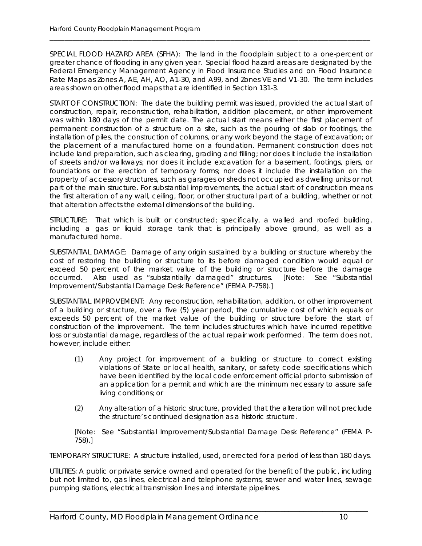SPECIAL FLOOD HAZARD AREA (SFHA): The land in the floodplain subject to a one-percent or greater chance of flooding in any given year. Special flood hazard areas are designated by the Federal Emergency Management Agency in Flood Insurance Studies and on Flood Insurance Rate Maps as Zones A, AE, AH, AO, A1-30, and A99, and Zones VE and V1-30. The term includes areas shown on other flood maps that are identified in Section 131-3.

\_\_\_\_\_\_\_\_\_\_\_\_\_\_\_\_\_\_\_\_\_\_\_\_\_\_\_\_\_\_\_\_\_\_\_\_\_\_\_\_\_\_\_\_\_\_\_\_\_\_\_\_\_\_\_\_\_\_\_\_\_\_\_\_\_\_\_\_\_\_\_\_\_\_\_\_\_\_\_\_\_\_\_\_\_

START OF CONSTRUCTION: The date the building permit was issued, provided the actual start of construction, repair, reconstruction, rehabilitation, addition placement, or other improvement was within 180 days of the permit date. The actual start means either the first placement of permanent construction of a structure on a site, such as the pouring of slab or footings, the installation of piles, the construction of columns, or any work beyond the stage of excavation; or the placement of a manufactured home on a foundation. Permanent construction does not include land preparation, such as clearing, grading and filling; nor does it include the installation of streets and/or walkways; nor does it include excavation for a basement, footings, piers, or foundations or the erection of temporary forms; nor does it include the installation on the property of accessory structures, such as garages or sheds not occupied as dwelling units or not part of the main structure. For substantial improvements, the actual start of construction means the first alteration of any wall, ceiling, floor, or other structural part of a building, whether or not that alteration affects the external dimensions of the building.

STRUCTURE: That which is built or constructed; specifically, a walled and roofed building, including a gas or liquid storage tank that is principally above ground, as well as a manufactured home.

SUBSTANTIAL DAMAGE: Damage of any origin sustained by a building or structure whereby the cost of restoring the building or structure to its before damaged condition would equal or exceed 50 percent of the market value of the building or structure before the damage occurred. Also used as "substantially damaged" structures. [Note: See "Substantial Improvement/Substantial Damage Desk Reference" (FEMA P-758).]

SUBSTANTIAL IMPROVEMENT: Any reconstruction, rehabilitation, addition, or other improvement of a building or structure, over a five (5) year period, the cumulative cost of which equals or exceeds 50 percent of the market value of the building or structure before the start of construction of the improvement. The term includes structures which have incurred repetitive loss or substantial damage, regardless of the actual repair work performed. The term does not, however, include either:

- (1) Any project for improvement of a building or structure to correct existing violations of State or local health, sanitary, or safety code specifications which have been identified by the local code enforcement official prior to submission of an application for a permit and which are the minimum necessary to assure safe living conditions; or
- (2) Any alteration of a historic structure, provided that the alteration will not preclude the structure's continued designation as a historic structure.

[Note: See "Substantial Improvement/Substantial Damage Desk Reference" (FEMA P-758).]

TEMPORARY STRUCTURE: A structure installed, used, or erected for a period of less than 180 days.

UTILITIES: A public or private service owned and operated for the benefit of the public, including but not limited to, gas lines, electrical and telephone systems, sewer and water lines, sewage pumping stations, electrical transmission lines and interstate pipelines.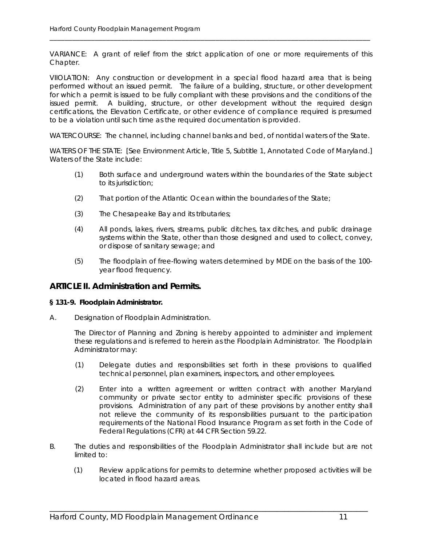VARIANCE: A grant of relief from the strict application of one or more requirements of this Chapter.

\_\_\_\_\_\_\_\_\_\_\_\_\_\_\_\_\_\_\_\_\_\_\_\_\_\_\_\_\_\_\_\_\_\_\_\_\_\_\_\_\_\_\_\_\_\_\_\_\_\_\_\_\_\_\_\_\_\_\_\_\_\_\_\_\_\_\_\_\_\_\_\_\_\_\_\_\_\_\_\_\_\_\_\_\_

VIIOLATION: Any construction or development in a special flood hazard area that is being performed without an issued permit. The failure of a building, structure, or other development for which a permit is issued to be fully compliant with these provisions and the conditions of the issued permit. A building, structure, or other development without the required design certifications, the Elevation Certificate, or other evidence of compliance required is presumed to be a violation until such time as the required documentation is provided.

WATERCOURSE: The channel, including channel banks and bed, of nontidal waters of the State.

WATERS OF THE STATE: [See Environment Article, Title 5, Subtitle 1, Annotated Code of Maryland.] Waters of the State include:

- (1) Both surface and underground waters within the boundaries of the State subject to its jurisdiction;
- (2) That portion of the Atlantic Ocean within the boundaries of the State;
- (3) The Chesapeake Bay and its tributaries;
- (4) All ponds, lakes, rivers, streams, public ditches, tax ditches, and public drainage systems within the State, other than those designed and used to collect, convey, or dispose of sanitary sewage; and
- (5) The floodplain of free-flowing waters determined by MDE on the basis of the 100 year flood frequency.

#### **ARTICLE II. Administration and Permits.**

#### **§ 131-9. Floodplain Administrator.**

A. Designation of Floodplain Administration.

The Director of Planning and Zoning is hereby appointed to administer and implement these regulations and is referred to herein as the Floodplain Administrator. The Floodplain Administrator may:

- (1) Delegate duties and responsibilities set forth in these provisions to qualified technical personnel, plan examiners, inspectors, and other employees.
- (2) Enter into a written agreement or written contract with another Maryland community or private sector entity to administer specific provisions of these provisions. Administration of any part of these provisions by another entity shall not relieve the community of its responsibilities pursuant to the participation requirements of the National Flood Insurance Program as set forth in the Code of Federal Regulations (CFR) at 44 CFR Section 59.22.
- B. The duties and responsibilities of the Floodplain Administrator shall include but are not limited to:

\_\_\_\_\_\_\_\_\_\_\_\_\_\_\_\_\_\_\_\_\_\_\_\_\_\_\_\_\_\_\_\_\_\_\_\_\_\_\_\_\_\_\_\_\_\_\_\_\_\_\_\_\_\_\_\_\_\_\_\_\_\_\_\_\_\_\_\_\_\_\_\_\_\_\_\_\_\_\_\_\_\_\_\_

(1) Review applications for permits to determine whether proposed activities will be located in flood hazard areas.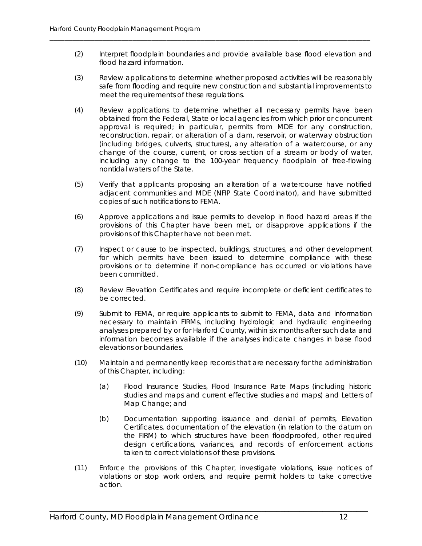(2) Interpret floodplain boundaries and provide available base flood elevation and flood hazard information.

\_\_\_\_\_\_\_\_\_\_\_\_\_\_\_\_\_\_\_\_\_\_\_\_\_\_\_\_\_\_\_\_\_\_\_\_\_\_\_\_\_\_\_\_\_\_\_\_\_\_\_\_\_\_\_\_\_\_\_\_\_\_\_\_\_\_\_\_\_\_\_\_\_\_\_\_\_\_\_\_\_\_\_\_\_

- (3) Review applications to determine whether proposed activities will be reasonably safe from flooding and require new construction and substantial improvements to meet the requirements of these regulations.
- (4) Review applications to determine whether all necessary permits have been obtained from the Federal, State or local agencies from which prior or concurrent approval is required; in particular, permits from MDE for any construction, reconstruction, repair, or alteration of a dam, reservoir, or waterway obstruction (including bridges, culverts, structures), any alteration of a watercourse, or any change of the course, current, or cross section of a stream or body of water, including any change to the 100-year frequency floodplain of free-flowing nontidal waters of the State.
- (5) Verify that applicants proposing an alteration of a watercourse have notified adjacent communities and MDE (NFIP State Coordinator), and have submitted copies of such notifications to FEMA.
- (6) Approve applications and issue permits to develop in flood hazard areas if the provisions of this Chapter have been met, or disapprove applications if the provisions of this Chapter have not been met.
- (7) Inspect or cause to be inspected, buildings, structures, and other development for which permits have been issued to determine compliance with these provisions or to determine if non-compliance has occurred or violations have been committed.
- (8) Review Elevation Certificates and require incomplete or deficient certificates to be corrected.
- (9) Submit to FEMA, or require applicants to submit to FEMA, data and information necessary to maintain FIRMs, including hydrologic and hydraulic engineering analyses prepared by or for Harford County, within six months after such data and information becomes available if the analyses indicate changes in base flood elevations or boundaries.
- (10) Maintain and permanently keep records that are necessary for the administration of this Chapter, including:
	- (a) Flood Insurance Studies, Flood Insurance Rate Maps (including historic studies and maps and current effective studies and maps) and Letters of Map Change; and
	- (b) Documentation supporting issuance and denial of permits, Elevation Certificates, documentation of the elevation (in relation to the datum on the FIRM) to which structures have been floodproofed, other required design certifications, variances, and records of enforcement actions taken to correct violations of these provisions.
- (11) Enforce the provisions of this Chapter, investigate violations, issue notices of violations or stop work orders, and require permit holders to take corrective action.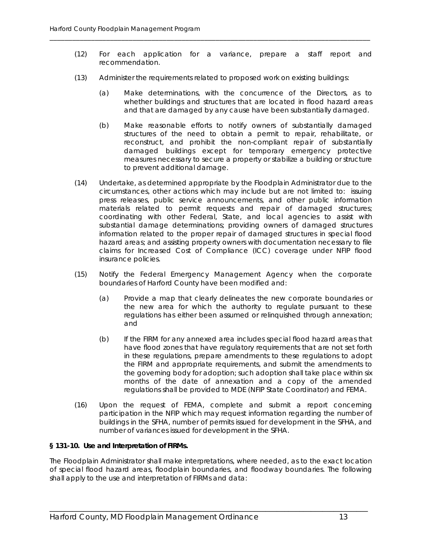- (12) For each application for a variance, prepare a staff report and recommendation.
- (13) Administer the requirements related to proposed work on existing buildings:

\_\_\_\_\_\_\_\_\_\_\_\_\_\_\_\_\_\_\_\_\_\_\_\_\_\_\_\_\_\_\_\_\_\_\_\_\_\_\_\_\_\_\_\_\_\_\_\_\_\_\_\_\_\_\_\_\_\_\_\_\_\_\_\_\_\_\_\_\_\_\_\_\_\_\_\_\_\_\_\_\_\_\_\_\_

- (a) Make determinations, with the concurrence of the Directors, as to whether buildings and structures that are located in flood hazard areas and that are damaged by any cause have been substantially damaged.
- (b) Make reasonable efforts to notify owners of substantially damaged structures of the need to obtain a permit to repair, rehabilitate, or reconstruct, and prohibit the non-compliant repair of substantially damaged buildings except for temporary emergency protective measures necessary to secure a property or stabilize a building or structure to prevent additional damage.
- (14) Undertake, as determined appropriate by the Floodplain Administrator due to the circumstances, other actions which may include but are not limited to: issuing press releases, public service announcements, and other public information materials related to permit requests and repair of damaged structures; coordinating with other Federal, State, and local agencies to assist with substantial damage determinations; providing owners of damaged structures information related to the proper repair of damaged structures in special flood hazard areas; and assisting property owners with documentation necessary to file claims for Increased Cost of Compliance (ICC) coverage under NFIP flood insurance policies.
- (15) Notify the Federal Emergency Management Agency when the corporate boundaries of Harford County have been modified and:
	- (a) Provide a map that clearly delineates the new corporate boundaries or the new area for which the authority to regulate pursuant to these regulations has either been assumed or relinquished through annexation; and
	- (b) If the FIRM for any annexed area includes special flood hazard areas that have flood zones that have regulatory requirements that are not set forth in these regulations, prepare amendments to these regulations to adopt the FIRM and appropriate requirements, and submit the amendments to the governing body for adoption; such adoption shall take place within six months of the date of annexation and a copy of the amended regulations shall be provided to MDE (NFIP State Coordinator) and FEMA.
- (16) Upon the request of FEMA, complete and submit a report concerning participation in the NFIP which may request information regarding the number of buildings in the SFHA, number of permits issued for development in the SFHA, and number of variances issued for development in the SFHA.

#### **§ 131-10. Use and Interpretation of FIRMs.**

The Floodplain Administrator shall make interpretations, where needed, as to the exact location of special flood hazard areas, floodplain boundaries, and floodway boundaries. The following shall apply to the use and interpretation of FIRMs and data: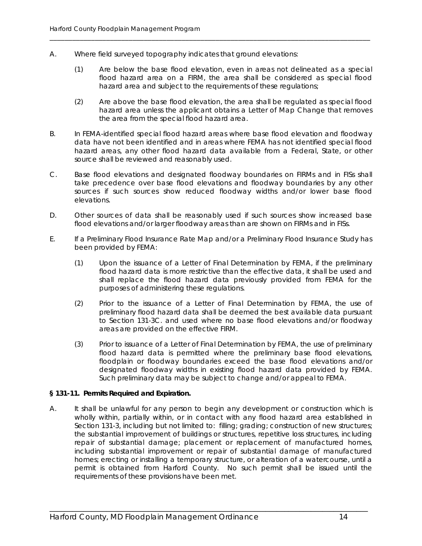- A. Where field surveyed topography indicates that ground elevations:
	- (1) Are below the base flood elevation, even in areas not delineated as a special flood hazard area on a FIRM, the area shall be considered as special flood hazard area and subject to the requirements of these regulations;

\_\_\_\_\_\_\_\_\_\_\_\_\_\_\_\_\_\_\_\_\_\_\_\_\_\_\_\_\_\_\_\_\_\_\_\_\_\_\_\_\_\_\_\_\_\_\_\_\_\_\_\_\_\_\_\_\_\_\_\_\_\_\_\_\_\_\_\_\_\_\_\_\_\_\_\_\_\_\_\_\_\_\_\_\_

- (2) Are above the base flood elevation, the area shall be regulated as special flood hazard area unless the applicant obtains a Letter of Map Change that removes the area from the special flood hazard area.
- B. In FEMA-identified special flood hazard areas where base flood elevation and floodway data have not been identified and in areas where FEMA has not identified special flood hazard areas, any other flood hazard data available from a Federal, State, or other source shall be reviewed and reasonably used.
- C. Base flood elevations and designated floodway boundaries on FIRMs and in FISs shall take precedence over base flood elevations and floodway boundaries by any other sources if such sources show reduced floodway widths and/or lower base flood elevations.
- D. Other sources of data shall be reasonably used if such sources show increased base flood elevations and/or larger floodway areas than are shown on FIRMs and in FISs.
- E. If a Preliminary Flood Insurance Rate Map and/or a Preliminary Flood Insurance Study has been provided by FEMA:
	- (1) Upon the issuance of a Letter of Final Determination by FEMA, if the preliminary flood hazard data is more restrictive than the effective data, it shall be used and shall replace the flood hazard data previously provided from FEMA for the purposes of administering these regulations.
	- (2) Prior to the issuance of a Letter of Final Determination by FEMA, the use of preliminary flood hazard data shall be deemed the best available data pursuant to Section 131-3C. and used where no base flood elevations and/or floodway areas are provided on the effective FIRM.
	- (3) Prior to issuance of a Letter of Final Determination by FEMA, the use of preliminary flood hazard data is permitted where the preliminary base flood elevations, floodplain or floodway boundaries exceed the base flood elevations and/or designated floodway widths in existing flood hazard data provided by FEMA. Such preliminary data may be subject to change and/or appeal to FEMA.

#### **§ 131-11. Permits Required and Expiration.**

A. It shall be unlawful for any person to begin any development or construction which is wholly within, partially within, or in contact with any flood hazard area established in Section 131-3, including but not limited to: filling; grading; construction of new structures; the substantial improvement of buildings or structures, repetitive loss structures, including repair of substantial damage; placement or replacement of manufactured homes, including substantial improvement or repair of substantial damage of manufactured homes; erecting or installing a temporary structure, or alteration of a watercourse, until a permit is obtained from Harford County. No such permit shall be issued until the requirements of these provisions have been met.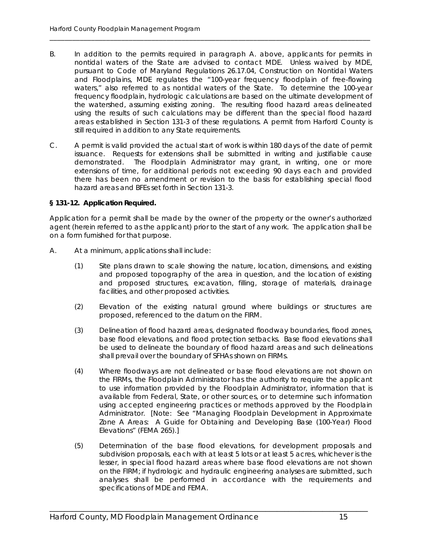B. In addition to the permits required in paragraph A. above, applicants for permits in nontidal waters of the State are advised to contact MDE. Unless waived by MDE, pursuant to Code of Maryland Regulations 26.17.04, Construction on Nontidal Waters and Floodplains, MDE regulates the "100-year frequency floodplain of free-flowing waters," also referred to as nontidal waters of the State. To determine the 100-year frequency floodplain, hydrologic calculations are based on the ultimate development of the watershed, assuming existing zoning. The resulting flood hazard areas delineated using the results of such calculations may be different than the special flood hazard areas established in Section 131-3 of these regulations. A permit from Harford County is still required in addition to any State requirements.

\_\_\_\_\_\_\_\_\_\_\_\_\_\_\_\_\_\_\_\_\_\_\_\_\_\_\_\_\_\_\_\_\_\_\_\_\_\_\_\_\_\_\_\_\_\_\_\_\_\_\_\_\_\_\_\_\_\_\_\_\_\_\_\_\_\_\_\_\_\_\_\_\_\_\_\_\_\_\_\_\_\_\_\_\_

C. A permit is valid provided the actual start of work is within 180 days of the date of permit issuance. Requests for extensions shall be submitted in writing and justifiable cause demonstrated. The Floodplain Administrator may grant, in writing, one or more extensions of time, for additional periods not exceeding 90 days each and provided there has been no amendment or revision to the basis for establishing special flood hazard areas and BFEs set forth in Section 131-3.

#### **§ 131-12. Application Required.**

Application for a permit shall be made by the owner of the property or the owner's authorized agent (herein referred to as the applicant) prior to the start of any work. The application shall be on a form furnished for that purpose.

- A. At a minimum, applications shall include:
	- (1) Site plans drawn to scale showing the nature, location, dimensions, and existing and proposed topography of the area in question, and the location of existing and proposed structures, excavation, filling, storage of materials, drainage facilities, and other proposed activities.
	- (2) Elevation of the existing natural ground where buildings or structures are proposed, referenced to the datum on the FIRM.
	- (3) Delineation of flood hazard areas, designated floodway boundaries, flood zones, base flood elevations, and flood protection setbacks. Base flood elevations shall be used to delineate the boundary of flood hazard areas and such delineations shall prevail over the boundary of SFHAs shown on FIRMs.
	- (4) Where floodways are not delineated or base flood elevations are not shown on the FIRMs, the Floodplain Administrator has the authority to require the applicant to use information provided by the Floodplain Administrator, information that is available from Federal, State, or other sources, or to determine such information using accepted engineering practices or methods approved by the Floodplain Administrator. [Note: See "Managing Floodplain Development in Approximate Zone A Areas: A Guide for Obtaining and Developing Base (100-Year) Flood Elevations" (FEMA 265).]
	- (5) Determination of the base flood elevations, for development proposals and subdivision proposals, each with at least 5 lots or at least 5 acres, whichever is the lesser, in special flood hazard areas where base flood elevations are not shown on the FIRM; if hydrologic and hydraulic engineering analyses are submitted, such analyses shall be performed in accordance with the requirements and specifications of MDE and FEMA.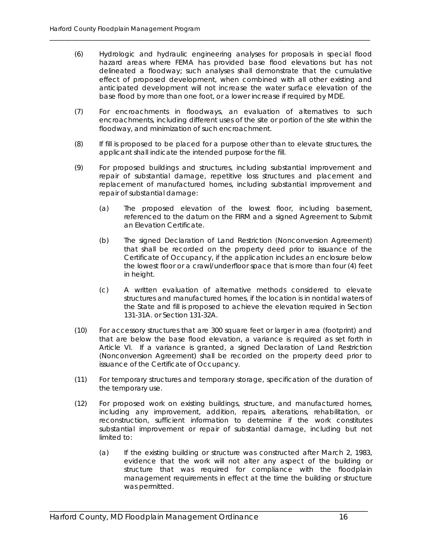(6) Hydrologic and hydraulic engineering analyses for proposals in special flood hazard areas where FEMA has provided base flood elevations but has not delineated a floodway; such analyses shall demonstrate that the cumulative effect of proposed development, when combined with all other existing and anticipated development will not increase the water surface elevation of the base flood by more than one foot, or a lower increase if required by MDE.

\_\_\_\_\_\_\_\_\_\_\_\_\_\_\_\_\_\_\_\_\_\_\_\_\_\_\_\_\_\_\_\_\_\_\_\_\_\_\_\_\_\_\_\_\_\_\_\_\_\_\_\_\_\_\_\_\_\_\_\_\_\_\_\_\_\_\_\_\_\_\_\_\_\_\_\_\_\_\_\_\_\_\_\_\_

- (7) For encroachments in floodways, an evaluation of alternatives to such encroachments, including different uses of the site or portion of the site within the floodway, and minimization of such encroachment.
- (8) If fill is proposed to be placed for a purpose other than to elevate structures, the applicant shall indicate the intended purpose for the fill.
- (9) For proposed buildings and structures, including substantial improvement and repair of substantial damage, repetitive loss structures and placement and replacement of manufactured homes, including substantial improvement and repair of substantial damage:
	- (a) The proposed elevation of the lowest floor, including basement, referenced to the datum on the FIRM and a signed Agreement to Submit an Elevation Certificate.
	- (b) The signed Declaration of Land Restriction (Nonconversion Agreement) that shall be recorded on the property deed prior to issuance of the Certificate of Occupancy, if the application includes an enclosure below the lowest floor or a crawl/underfloor space that is more than four (4) feet in height.
	- (c) A written evaluation of alternative methods considered to elevate structures and manufactured homes, if the location is in nontidal waters of the State and fill is proposed to achieve the elevation required in Section 131-31A. or Section 131-32A.
- (10) For accessory structures that are 300 square feet or larger in area (footprint) and that are below the base flood elevation, a variance is required as set forth in Article VI. If a variance is granted, a signed Declaration of Land Restriction (Nonconversion Agreement) shall be recorded on the property deed prior to issuance of the Certificate of Occupancy.
- (11) For temporary structures and temporary storage, specification of the duration of the temporary use.
- (12) For proposed work on existing buildings, structure, and manufactured homes, including any improvement, addition, repairs, alterations, rehabilitation, or reconstruction, sufficient information to determine if the work constitutes substantial improvement or repair of substantial damage, including but not limited to:

\_\_\_\_\_\_\_\_\_\_\_\_\_\_\_\_\_\_\_\_\_\_\_\_\_\_\_\_\_\_\_\_\_\_\_\_\_\_\_\_\_\_\_\_\_\_\_\_\_\_\_\_\_\_\_\_\_\_\_\_\_\_\_\_\_\_\_\_\_\_\_\_\_\_\_\_\_\_\_\_\_\_\_\_

(a) If the existing building or structure was constructed after March 2, 1983, evidence that the work will not alter any aspect of the building or structure that was required for compliance with the floodplain management requirements in effect at the time the building or structure was permitted.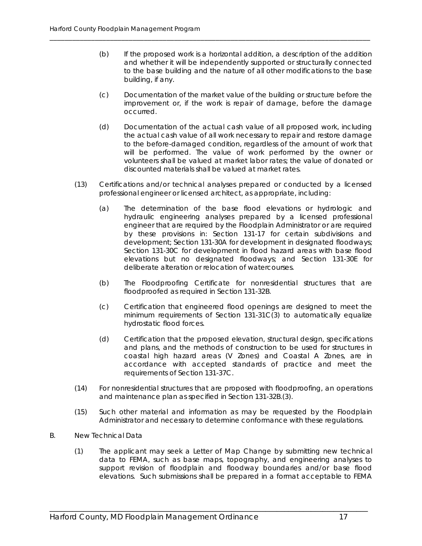(b) If the proposed work is a horizontal addition, a description of the addition and whether it will be independently supported or structurally connected to the base building and the nature of all other modifications to the base building, if any.

\_\_\_\_\_\_\_\_\_\_\_\_\_\_\_\_\_\_\_\_\_\_\_\_\_\_\_\_\_\_\_\_\_\_\_\_\_\_\_\_\_\_\_\_\_\_\_\_\_\_\_\_\_\_\_\_\_\_\_\_\_\_\_\_\_\_\_\_\_\_\_\_\_\_\_\_\_\_\_\_\_\_\_\_\_

- (c) Documentation of the market value of the building or structure before the improvement or, if the work is repair of damage, before the damage occurred.
- (d) Documentation of the actual cash value of all proposed work, including the actual cash value of all work necessary to repair and restore damage to the before-damaged condition, regardless of the amount of work that will be performed. The value of work performed by the owner or volunteers shall be valued at market labor rates; the value of donated or discounted materials shall be valued at market rates.
- (13) Certifications and/or technical analyses prepared or conducted by a licensed professional engineer or licensed architect, as appropriate, including:
	- (a) The determination of the base flood elevations or hydrologic and hydraulic engineering analyses prepared by a licensed professional engineer that are required by the Floodplain Administrator or are required by these provisions in: Section 131-17 for certain subdivisions and development; Section 131-30A for development in designated floodways; Section 131-30C for development in flood hazard areas with base flood elevations but no designated floodways; and Section 131-30E for deliberate alteration or relocation of watercourses.
	- (b) The Floodproofing Certificate for nonresidential structures that are floodproofed as required in Section 131-32B.
	- (c) Certification that engineered flood openings are designed to meet the minimum requirements of Section 131-31C(3) to automatically equalize hydrostatic flood forces.
	- (d) Certification that the proposed elevation, structural design, specifications and plans, and the methods of construction to be used for structures in coastal high hazard areas (V Zones) and Coastal A Zones, are in accordance with accepted standards of practice and meet the requirements of Section 131-37C.
- (14) For nonresidential structures that are proposed with floodproofing, an operations and maintenance plan as specified in Section 131-32B.(3).
- (15) Such other material and information as may be requested by the Floodplain Administrator and necessary to determine conformance with these regulations.
- B. New Technical Data
	- (1) The applicant may seek a Letter of Map Change by submitting new technical data to FEMA, such as base maps, topography, and engineering analyses to support revision of floodplain and floodway boundaries and/or base flood elevations. Such submissions shall be prepared in a format acceptable to FEMA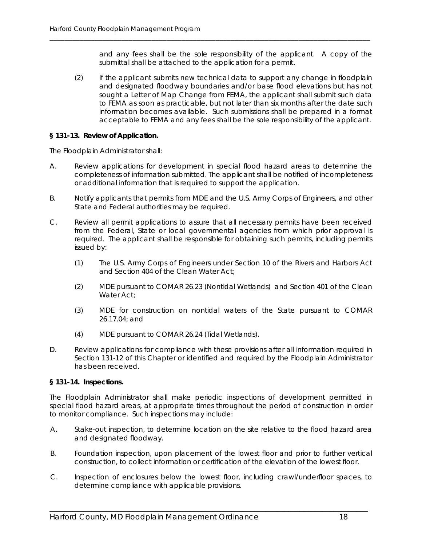and any fees shall be the sole responsibility of the applicant. A copy of the submittal shall be attached to the application for a permit.

(2) If the applicant submits new technical data to support any change in floodplain and designated floodway boundaries and/or base flood elevations but has not sought a Letter of Map Change from FEMA, the applicant shall submit such data to FEMA as soon as practicable, but not later than six months after the date such information becomes available. Such submissions shall be prepared in a format acceptable to FEMA and any fees shall be the sole responsibility of the applicant.

\_\_\_\_\_\_\_\_\_\_\_\_\_\_\_\_\_\_\_\_\_\_\_\_\_\_\_\_\_\_\_\_\_\_\_\_\_\_\_\_\_\_\_\_\_\_\_\_\_\_\_\_\_\_\_\_\_\_\_\_\_\_\_\_\_\_\_\_\_\_\_\_\_\_\_\_\_\_\_\_\_\_\_\_\_

#### **§ 131-13. Review of Application.**

The Floodplain Administrator shall:

- A. Review applications for development in special flood hazard areas to determine the completeness of information submitted. The applicant shall be notified of incompleteness or additional information that is required to support the application.
- B. Notify applicants that permits from MDE and the U.S. Army Corps of Engineers, and other State and Federal authorities may be required.
- C. Review all permit applications to assure that all necessary permits have been received from the Federal, State or local governmental agencies from which prior approval is required. The applicant shall be responsible for obtaining such permits, including permits issued by:
	- (1) The U.S. Army Corps of Engineers under Section 10 of the Rivers and Harbors Act and Section 404 of the Clean Water Act;
	- (2) MDE pursuant to COMAR 26.23 (Nontidal Wetlands) and Section 401 of the Clean Water Act;
	- (3) MDE for construction on nontidal waters of the State pursuant to COMAR 26.17.04; and
	- (4) MDE pursuant to COMAR 26.24 (Tidal Wetlands).
- D. Review applications for compliance with these provisions after all information required in Section 131-12 of this Chapter or identified and required by the Floodplain Administrator has been received.

#### **§ 131-14. Inspections.**

The Floodplain Administrator shall make periodic inspections of development permitted in special flood hazard areas, at appropriate times throughout the period of construction in order to monitor compliance. Such inspections may include:

- A. Stake-out inspection, to determine location on the site relative to the flood hazard area and designated floodway.
- B. Foundation inspection, upon placement of the lowest floor and prior to further vertical construction, to collect information or certification of the elevation of the lowest floor.
- C. Inspection of enclosures below the lowest floor, including crawl/underfloor spaces, to determine compliance with applicable provisions.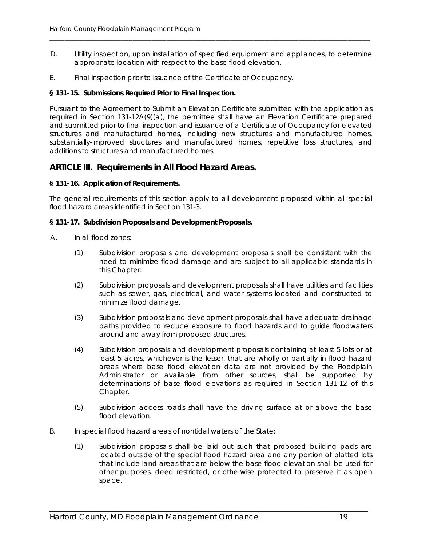D. Utility inspection, upon installation of specified equipment and appliances, to determine appropriate location with respect to the base flood elevation.

\_\_\_\_\_\_\_\_\_\_\_\_\_\_\_\_\_\_\_\_\_\_\_\_\_\_\_\_\_\_\_\_\_\_\_\_\_\_\_\_\_\_\_\_\_\_\_\_\_\_\_\_\_\_\_\_\_\_\_\_\_\_\_\_\_\_\_\_\_\_\_\_\_\_\_\_\_\_\_\_\_\_\_\_\_

E. Final inspection prior to issuance of the Certificate of Occupancy.

#### **§ 131-15. Submissions Required Prior to Final Inspection.**

Pursuant to the Agreement to Submit an Elevation Certificate submitted with the application as required in Section 131-12A(9)(a), the permittee shall have an Elevation Certificate prepared and submitted prior to final inspection and issuance of a Certificate of Occupancy for elevated structures and manufactured homes, including new structures and manufactured homes, substantially-improved structures and manufactured homes, repetitive loss structures, and additions to structures and manufactured homes.

#### **ARTICLE III. Requirements in All Flood Hazard Areas.**

#### **§ 131-16. Application of Requirements.**

The general requirements of this section apply to all development proposed within all special flood hazard areas identified in Section 131-3.

#### **§ 131-17. Subdivision Proposals and Development Proposals.**

- A. In all flood zones:
	- (1) Subdivision proposals and development proposals shall be consistent with the need to minimize flood damage and are subject to all applicable standards in this Chapter.
	- (2) Subdivision proposals and development proposals shall have utilities and facilities such as sewer, gas, electrical, and water systems located and constructed to minimize flood damage.
	- (3) Subdivision proposals and development proposals shall have adequate drainage paths provided to reduce exposure to flood hazards and to guide floodwaters around and away from proposed structures.
	- (4) Subdivision proposals and development proposals containing at least 5 lots or at least 5 acres, whichever is the lesser, that are wholly or partially in flood hazard areas where base flood elevation data are not provided by the Floodplain Administrator or available from other sources, shall be supported by determinations of base flood elevations as required in Section 131-12 of this Chapter.
	- (5) Subdivision access roads shall have the driving surface at or above the base flood elevation.
- B. In special flood hazard areas of nontidal waters of the State:
	- (1) Subdivision proposals shall be laid out such that proposed building pads are located outside of the special flood hazard area and any portion of platted lots that include land areas that are below the base flood elevation shall be used for other purposes, deed restricted, or otherwise protected to preserve it as open space.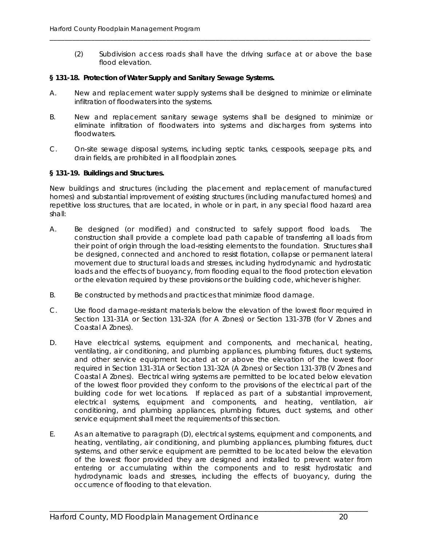(2) Subdivision access roads shall have the driving surface at or above the base flood elevation.

#### **§ 131-18. Protection of Water Supply and Sanitary Sewage Systems.**

A. New and replacement water supply systems shall be designed to minimize or eliminate infiltration of floodwaters into the systems.

\_\_\_\_\_\_\_\_\_\_\_\_\_\_\_\_\_\_\_\_\_\_\_\_\_\_\_\_\_\_\_\_\_\_\_\_\_\_\_\_\_\_\_\_\_\_\_\_\_\_\_\_\_\_\_\_\_\_\_\_\_\_\_\_\_\_\_\_\_\_\_\_\_\_\_\_\_\_\_\_\_\_\_\_\_

- B. New and replacement sanitary sewage systems shall be designed to minimize or eliminate infiltration of floodwaters into systems and discharges from systems into floodwaters.
- C. On-site sewage disposal systems, including septic tanks, cesspools, seepage pits, and drain fields, are prohibited in all floodplain zones.

#### **§ 131-19. Buildings and Structures.**

New buildings and structures (including the placement and replacement of manufactured homes) and substantial improvement of existing structures (including manufactured homes) and repetitive loss structures, that are located, in whole or in part, in any special flood hazard area shall:

- A. Be designed (or modified) and constructed to safely support flood loads. The construction shall provide a complete load path capable of transferring all loads from their point of origin through the load-resisting elements to the foundation. Structures shall be designed, connected and anchored to resist flotation, collapse or permanent lateral movement due to structural loads and stresses, including hydrodynamic and hydrostatic loads and the effects of buoyancy, from flooding equal to the flood protection elevation or the elevation required by these provisions or the building code, whichever is higher.
- B. Be constructed by methods and practices that minimize flood damage.
- C. Use flood damage-resistant materials below the elevation of the lowest floor required in Section 131-31A or Section 131-32A (for A Zones) or Section 131-37B (for V Zones and Coastal A Zones).
- D. Have electrical systems, equipment and components, and mechanical, heating, ventilating, air conditioning, and plumbing appliances, plumbing fixtures, duct systems, and other service equipment located at or above the elevation of the lowest floor required in Section 131-31A or Section 131-32A (A Zones) or Section 131-37B (V Zones and Coastal A Zones). Electrical wiring systems are permitted to be located below elevation of the lowest floor provided they conform to the provisions of the electrical part of the building code for wet locations. If replaced as part of a substantial improvement, electrical systems, equipment and components, and heating, ventilation, air conditioning, and plumbing appliances, plumbing fixtures, duct systems, and other service equipment shall meet the requirements of this section.
- E. As an alternative to paragraph (D), electrical systems, equipment and components, and heating, ventilating, air conditioning, and plumbing appliances, plumbing fixtures, duct systems, and other service equipment are permitted to be located below the elevation of the lowest floor provided they are designed and installed to prevent water from entering or accumulating within the components and to resist hydrostatic and hydrodynamic loads and stresses, including the effects of buoyancy, during the occurrence of flooding to that elevation.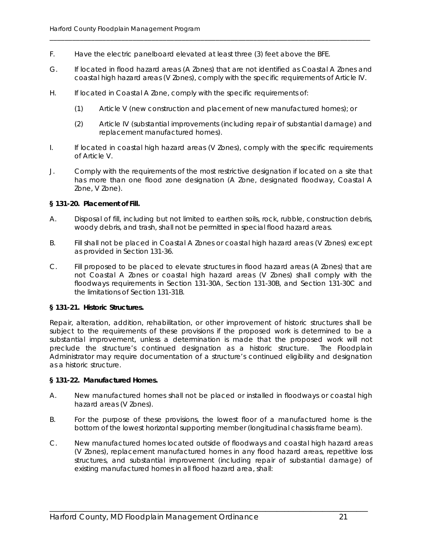- F. Have the electric panelboard elevated at least three (3) feet above the BFE.
- G. If located in flood hazard areas (A Zones) that are not identified as Coastal A Zones and coastal high hazard areas (V Zones), comply with the specific requirements of Article IV.

\_\_\_\_\_\_\_\_\_\_\_\_\_\_\_\_\_\_\_\_\_\_\_\_\_\_\_\_\_\_\_\_\_\_\_\_\_\_\_\_\_\_\_\_\_\_\_\_\_\_\_\_\_\_\_\_\_\_\_\_\_\_\_\_\_\_\_\_\_\_\_\_\_\_\_\_\_\_\_\_\_\_\_\_\_

- H. If located in Coastal A Zone, comply with the specific requirements of:
	- (1) Article V (new construction and placement of new manufactured homes); or
	- (2) Article IV (substantial improvements (including repair of substantial damage) and replacement manufactured homes).
- I. If located in coastal high hazard areas (V Zones), comply with the specific requirements of Article V.
- J. Comply with the requirements of the most restrictive designation if located on a site that has more than one flood zone designation (A Zone, designated floodway, Coastal A Zone, V Zone).

#### **§ 131-20. Placement of Fill.**

- A. Disposal of fill, including but not limited to earthen soils, rock, rubble, construction debris, woody debris, and trash, shall not be permitted in special flood hazard areas.
- B. Fill shall not be placed in Coastal A Zones or coastal high hazard areas (V Zones) except as provided in Section 131-36.
- C. Fill proposed to be placed to elevate structures in flood hazard areas (A Zones) that are not Coastal A Zones or coastal high hazard areas (V Zones) shall comply with the floodways requirements in Section 131-30A, Section 131-30B, and Section 131-30C and the limitations of Section 131-31B.

#### **§ 131-21. Historic Structures.**

Repair, alteration, addition, rehabilitation, or other improvement of historic structures shall be subject to the requirements of these provisions if the proposed work is determined to be a substantial improvement, unless a determination is made that the proposed work will not preclude the structure's continued designation as a historic structure. The Floodplain Administrator may require documentation of a structure's continued eligibility and designation as a historic structure.

#### **§ 131-22. Manufactured Homes.**

- A. New manufactured homes shall not be placed or installed in floodways or coastal high hazard areas (V Zones).
- B. For the purpose of these provisions, the lowest floor of a manufactured home is the bottom of the lowest horizontal supporting member (longitudinal chassis frame beam).
- C. New manufactured homes located outside of floodways and coastal high hazard areas (V Zones), replacement manufactured homes in any flood hazard areas, repetitive loss structures, and substantial improvement (including repair of substantial damage) of existing manufactured homes in all flood hazard area, shall: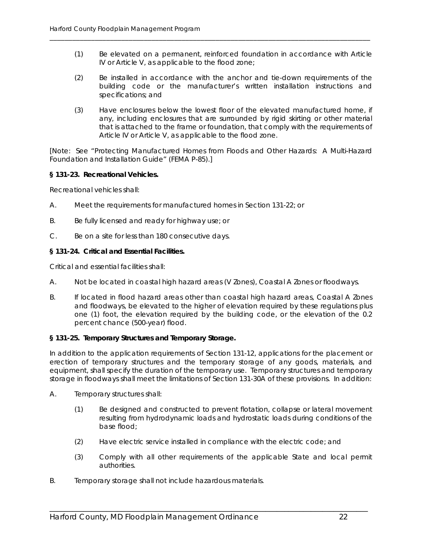(1) Be elevated on a permanent, reinforced foundation in accordance with Article IV or Article V, as applicable to the flood zone;

\_\_\_\_\_\_\_\_\_\_\_\_\_\_\_\_\_\_\_\_\_\_\_\_\_\_\_\_\_\_\_\_\_\_\_\_\_\_\_\_\_\_\_\_\_\_\_\_\_\_\_\_\_\_\_\_\_\_\_\_\_\_\_\_\_\_\_\_\_\_\_\_\_\_\_\_\_\_\_\_\_\_\_\_\_

- (2) Be installed in accordance with the anchor and tie-down requirements of the building code or the manufacturer's written installation instructions and specifications; and
- (3) Have enclosures below the lowest floor of the elevated manufactured home, if any, including enclosures that are surrounded by rigid skirting or other material that is attached to the frame or foundation, that comply with the requirements of Article IV or Article V, as applicable to the flood zone.

[Note: See "Protecting Manufactured Homes from Floods and Other Hazards: A Multi-Hazard Foundation and Installation Guide" (FEMA P-85).]

#### **§ 131-23. Recreational Vehicles.**

Recreational vehicles shall:

- A. Meet the requirements for manufactured homes in Section 131-22; or
- B. Be fully licensed and ready for highway use; or
- C. Be on a site for less than 180 consecutive days.

#### **§ 131-24. Critical and Essential Facilities.**

Critical and essential facilities shall:

- A. Not be located in coastal high hazard areas (V Zones), Coastal A Zones or floodways.
- B. If located in flood hazard areas other than coastal high hazard areas, Coastal A Zones and floodways, be elevated to the higher of elevation required by these regulations plus one (1) foot, the elevation required by the building code, or the elevation of the 0.2 percent chance (500-year) flood.

#### **§ 131-25. Temporary Structures and Temporary Storage.**

In addition to the application requirements of Section 131-12, applications for the placement or erection of temporary structures and the temporary storage of any goods, materials, and equipment, shall specify the duration of the temporary use. Temporary structures and temporary storage in floodways shall meet the limitations of Section 131-30A of these provisions. In addition:

- A. Temporary structures shall:
	- (1) Be designed and constructed to prevent flotation, collapse or lateral movement resulting from hydrodynamic loads and hydrostatic loads during conditions of the base flood;
	- (2) Have electric service installed in compliance with the electric code; and

- (3) Comply with all other requirements of the applicable State and local permit authorities.
- B. Temporary storage shall not include hazardous materials.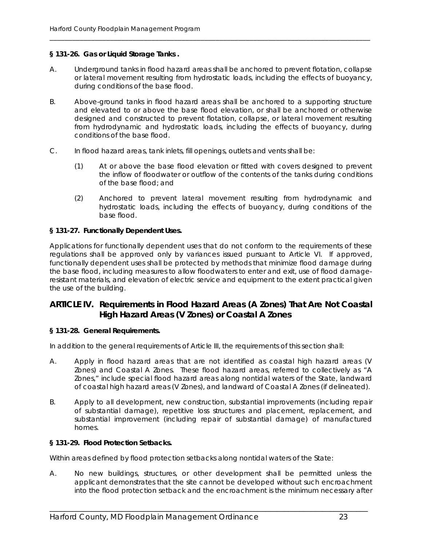#### **§ 131-26. Gas or Liquid Storage Tanks .**

A. Underground tanks in flood hazard areas shall be anchored to prevent flotation, collapse or lateral movement resulting from hydrostatic loads, including the effects of buoyancy, during conditions of the base flood.

\_\_\_\_\_\_\_\_\_\_\_\_\_\_\_\_\_\_\_\_\_\_\_\_\_\_\_\_\_\_\_\_\_\_\_\_\_\_\_\_\_\_\_\_\_\_\_\_\_\_\_\_\_\_\_\_\_\_\_\_\_\_\_\_\_\_\_\_\_\_\_\_\_\_\_\_\_\_\_\_\_\_\_\_\_

- B. Above-ground tanks in flood hazard areas shall be anchored to a supporting structure and elevated to or above the base flood elevation, or shall be anchored or otherwise designed and constructed to prevent flotation, collapse, or lateral movement resulting from hydrodynamic and hydrostatic loads, including the effects of buoyancy, during conditions of the base flood.
- C. In flood hazard areas, tank inlets, fill openings, outlets and vents shall be:
	- (1) At or above the base flood elevation or fitted with covers designed to prevent the inflow of floodwater or outflow of the contents of the tanks during conditions of the base flood; and
	- (2) Anchored to prevent lateral movement resulting from hydrodynamic and hydrostatic loads, including the effects of buoyancy, during conditions of the base flood.

#### **§ 131-27. Functionally Dependent Uses.**

Applications for functionally dependent uses that do not conform to the requirements of these regulations shall be approved only by variances issued pursuant to Article VI. If approved, functionally dependent uses shall be protected by methods that minimize flood damage during the base flood, including measures to allow floodwaters to enter and exit, use of flood damageresistant materials, and elevation of electric service and equipment to the extent practical given the use of the building.

#### **ARTICLE IV. Requirements in Flood Hazard Areas (A Zones) That Are Not Coastal High Hazard Areas (V Zones) or Coastal A Zones**

#### **§ 131-28. General Requirements.**

In addition to the general requirements of Article III, the requirements of this section shall:

- A. Apply in flood hazard areas that are not identified as coastal high hazard areas (V Zones) and Coastal A Zones. These flood hazard areas, referred to collectively as "A Zones," include special flood hazard areas along nontidal waters of the State, landward of coastal high hazard areas (V Zones), and landward of Coastal A Zones (if delineated).
- B. Apply to all development, new construction, substantial improvements (including repair of substantial damage), repetitive loss structures and placement, replacement, and substantial improvement (including repair of substantial damage) of manufactured homes.

#### **§ 131-29. Flood Protection Setbacks.**

Within areas defined by flood protection setbacks along nontidal waters of the State:

A. No new buildings, structures, or other development shall be permitted unless the applicant demonstrates that the site cannot be developed without such encroachment into the flood protection setback and the encroachment is the minimum necessary after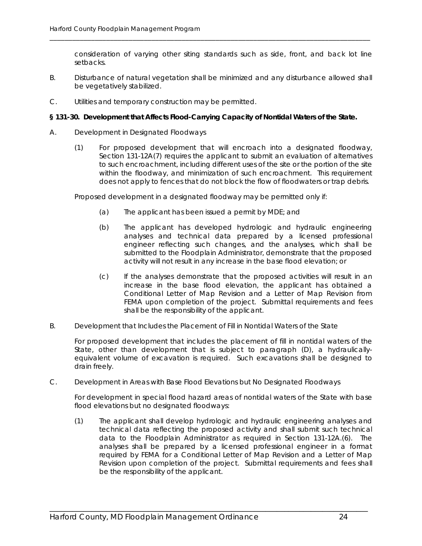consideration of varying other siting standards such as side, front, and back lot line setbacks.

B. Disturbance of natural vegetation shall be minimized and any disturbance allowed shall be vegetatively stabilized.

\_\_\_\_\_\_\_\_\_\_\_\_\_\_\_\_\_\_\_\_\_\_\_\_\_\_\_\_\_\_\_\_\_\_\_\_\_\_\_\_\_\_\_\_\_\_\_\_\_\_\_\_\_\_\_\_\_\_\_\_\_\_\_\_\_\_\_\_\_\_\_\_\_\_\_\_\_\_\_\_\_\_\_\_\_

C. Utilities and temporary construction may be permitted.

#### **§ 131-30. Development that Affects Flood-Carrying Capacity of Nontidal Waters of the State.**

- A. Development in Designated Floodways
	- (1) For proposed development that will encroach into a designated floodway, Section 131-12A(7) requires the applicant to submit an evaluation of alternatives to such encroachment, including different uses of the site or the portion of the site within the floodway, and minimization of such encroachment. This requirement does not apply to fences that do not block the flow of floodwaters or trap debris.

Proposed development in a designated floodway may be permitted only if:

- (a) The applicant has been issued a permit by MDE; and
- (b) The applicant has developed hydrologic and hydraulic engineering analyses and technical data prepared by a licensed professional engineer reflecting such changes, and the analyses, which shall be submitted to the Floodplain Administrator, demonstrate that the proposed activity will not result in any increase in the base flood elevation; or
- (c) If the analyses demonstrate that the proposed activities will result in an increase in the base flood elevation, the applicant has obtained a Conditional Letter of Map Revision and a Letter of Map Revision from FEMA upon completion of the project. Submittal requirements and fees shall be the responsibility of the applicant.
- B. Development that Includes the Placement of Fill in Nontidal Waters of the State

For proposed development that includes the placement of fill in nontidal waters of the State, other than development that is subject to paragraph (D), a hydraulicallyequivalent volume of excavation is required. Such excavations shall be designed to drain freely.

C. Development in Areas with Base Flood Elevations but No Designated Floodways

For development in special flood hazard areas of nontidal waters of the State with base flood elevations but no designated floodways:

(1) The applicant shall develop hydrologic and hydraulic engineering analyses and technical data reflecting the proposed activity and shall submit such technical data to the Floodplain Administrator as required in Section 131-12A.(6). The analyses shall be prepared by a licensed professional engineer in a format required by FEMA for a Conditional Letter of Map Revision and a Letter of Map Revision upon completion of the project. Submittal requirements and fees shall be the responsibility of the applicant.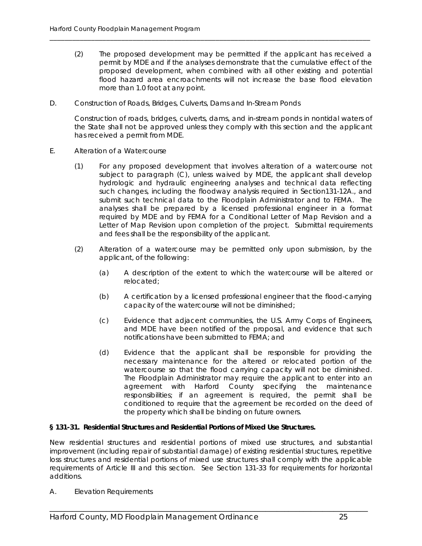(2) The proposed development may be permitted if the applicant has received a permit by MDE and if the analyses demonstrate that the cumulative effect of the proposed development, when combined with all other existing and potential flood hazard area encroachments will not increase the base flood elevation more than 1.0 foot at any point.

\_\_\_\_\_\_\_\_\_\_\_\_\_\_\_\_\_\_\_\_\_\_\_\_\_\_\_\_\_\_\_\_\_\_\_\_\_\_\_\_\_\_\_\_\_\_\_\_\_\_\_\_\_\_\_\_\_\_\_\_\_\_\_\_\_\_\_\_\_\_\_\_\_\_\_\_\_\_\_\_\_\_\_\_\_

D. Construction of Roads, Bridges, Culverts, Dams and In-Stream Ponds

Construction of roads, bridges, culverts, dams, and in-stream ponds in nontidal waters of the State shall not be approved unless they comply with this section and the applicant has received a permit from MDE.

- E. Alteration of a Watercourse
	- (1) For any proposed development that involves alteration of a watercourse not subject to paragraph (C), unless waived by MDE, the applicant shall develop hydrologic and hydraulic engineering analyses and technical data reflecting such changes, including the floodway analysis required in Section131-12A., and submit such technical data to the Floodplain Administrator and to FEMA. The analyses shall be prepared by a licensed professional engineer in a format required by MDE and by FEMA for a Conditional Letter of Map Revision and a Letter of Map Revision upon completion of the project. Submittal requirements and fees shall be the responsibility of the applicant.
	- (2) Alteration of a watercourse may be permitted only upon submission, by the applicant, of the following:
		- (a) A description of the extent to which the watercourse will be altered or relocated;
		- (b) A certification by a licensed professional engineer that the flood-carrying capacity of the watercourse will not be diminished;
		- (c) Evidence that adjacent communities, the U.S. Army Corps of Engineers, and MDE have been notified of the proposal, and evidence that such notifications have been submitted to FEMA; and
		- (d) Evidence that the applicant shall be responsible for providing the necessary maintenance for the altered or relocated portion of the watercourse so that the flood carrying capacity will not be diminished. The Floodplain Administrator may require the applicant to enter into an agreement with Harford County specifying the maintenance responsibilities; if an agreement is required, the permit shall be conditioned to require that the agreement be recorded on the deed of the property which shall be binding on future owners.

#### **§ 131-31. Residential Structures and Residential Portions of Mixed Use Structures.**

New residential structures and residential portions of mixed use structures, and substantial improvement (including repair of substantial damage) of existing residential structures, repetitive loss structures and residential portions of mixed use structures shall comply with the applicable requirements of Article III and this section. See Section 131-33 for requirements for horizontal additions.

\_\_\_\_\_\_\_\_\_\_\_\_\_\_\_\_\_\_\_\_\_\_\_\_\_\_\_\_\_\_\_\_\_\_\_\_\_\_\_\_\_\_\_\_\_\_\_\_\_\_\_\_\_\_\_\_\_\_\_\_\_\_\_\_\_\_\_\_\_\_\_\_\_\_\_\_\_\_\_\_\_\_\_\_

A. Elevation Requirements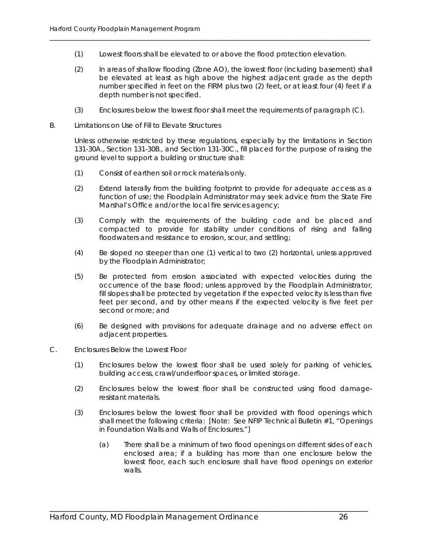(1) Lowest floors shall be elevated to or above the flood protection elevation.

\_\_\_\_\_\_\_\_\_\_\_\_\_\_\_\_\_\_\_\_\_\_\_\_\_\_\_\_\_\_\_\_\_\_\_\_\_\_\_\_\_\_\_\_\_\_\_\_\_\_\_\_\_\_\_\_\_\_\_\_\_\_\_\_\_\_\_\_\_\_\_\_\_\_\_\_\_\_\_\_\_\_\_\_\_

- (2) In areas of shallow flooding (Zone AO), the lowest floor (including basement) shall be elevated at least as high above the highest adjacent grade as the depth number specified in feet on the FIRM plus two (2) feet, or at least four (4) feet if a depth number is not specified.
- (3) Enclosures below the lowest floor shall meet the requirements of paragraph (C).
- B. Limitations on Use of Fill to Elevate Structures

Unless otherwise restricted by these regulations, especially by the limitations in Section 131-30A., Section 131-30B., and Section 131-30C., fill placed for the purpose of raising the ground level to support a building or structure shall:

- (1) Consist of earthen soil or rock materials only.
- (2) Extend laterally from the building footprint to provide for adequate access as a function of use; the Floodplain Administrator may seek advice from the State Fire Marshal's Office and/or the local fire services agency;
- (3) Comply with the requirements of the building code and be placed and compacted to provide for stability under conditions of rising and falling floodwaters and resistance to erosion, scour, and settling;
- (4) Be sloped no steeper than one (1) vertical to two (2) horizontal, unless approved by the Floodplain Administrator;
- (5) Be protected from erosion associated with expected velocities during the occurrence of the base flood; unless approved by the Floodplain Administrator, fill slopes shall be protected by vegetation if the expected velocity is less than five feet per second, and by other means if the expected velocity is five feet per second or more; and
- (6) Be designed with provisions for adequate drainage and no adverse effect on adjacent properties.
- C. Enclosures Below the Lowest Floor
	- (1) Enclosures below the lowest floor shall be used solely for parking of vehicles, building access, crawl/underfloor spaces, or limited storage.
	- (2) Enclosures below the lowest floor shall be constructed using flood damageresistant materials.
	- (3) Enclosures below the lowest floor shall be provided with flood openings which shall meet the following criteria: [Note: See NFIP Technical Bulletin #1, "Openings in Foundation Walls and Walls of Enclosures."]

\_\_\_\_\_\_\_\_\_\_\_\_\_\_\_\_\_\_\_\_\_\_\_\_\_\_\_\_\_\_\_\_\_\_\_\_\_\_\_\_\_\_\_\_\_\_\_\_\_\_\_\_\_\_\_\_\_\_\_\_\_\_\_\_\_\_\_\_\_\_\_\_\_\_\_\_\_\_\_\_\_\_\_\_

(a) There shall be a minimum of two flood openings on different sides of each enclosed area; if a building has more than one enclosure below the lowest floor, each such enclosure shall have flood openings on exterior walls.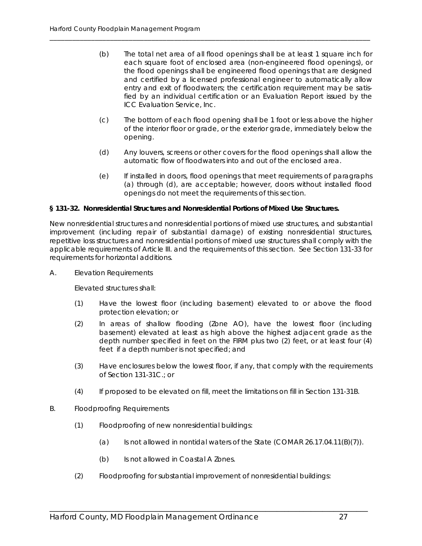(b) The total net area of all flood openings shall be at least 1 square inch for each square foot of enclosed area (non-engineered flood openings), or the flood openings shall be engineered flood openings that are designed and certified by a licensed professional engineer to automatically allow entry and exit of floodwaters; the certification requirement may be satisfied by an individual certification or an Evaluation Report issued by the ICC Evaluation Service, Inc.

\_\_\_\_\_\_\_\_\_\_\_\_\_\_\_\_\_\_\_\_\_\_\_\_\_\_\_\_\_\_\_\_\_\_\_\_\_\_\_\_\_\_\_\_\_\_\_\_\_\_\_\_\_\_\_\_\_\_\_\_\_\_\_\_\_\_\_\_\_\_\_\_\_\_\_\_\_\_\_\_\_\_\_\_\_

- (c) The bottom of each flood opening shall be 1 foot or less above the higher of the interior floor or grade, or the exterior grade, immediately below the opening.
- (d) Any louvers, screens or other covers for the flood openings shall allow the automatic flow of floodwaters into and out of the enclosed area.
- (e) If installed in doors, flood openings that meet requirements of paragraphs (a) through (d), are acceptable; however, doors without installed flood openings do not meet the requirements of this section.

#### **§ 131-32. Nonresidential Structures and Nonresidential Portions of Mixed Use Structures.**

New nonresidential structures and nonresidential portions of mixed use structures, and substantial improvement (including repair of substantial damage) of existing nonresidential structures, repetitive loss structures and nonresidential portions of mixed use structures shall comply with the applicable requirements of Article III. and the requirements of this section. See Section 131-33 for requirements for horizontal additions.

A. Elevation Requirements

Elevated structures shall:

- (1) Have the lowest floor (including basement) elevated to or above the flood protection elevation; or
- (2) In areas of shallow flooding (Zone AO), have the lowest floor (including basement) elevated at least as high above the highest adjacent grade as the depth number specified in feet on the FIRM plus two (2) feet, or at least four (4) feet if a depth number is not specified; and
- (3) Have enclosures below the lowest floor, if any, that comply with the requirements of Section 131-31C.; or
- (4) If proposed to be elevated on fill, meet the limitations on fill in Section 131-31B.
- B. Floodproofing Requirements
	- (1) Floodproofing of new nonresidential buildings:
		- (a) Is not allowed in nontidal waters of the State (COMAR  $26.17.04.11(B)(7)$ ).
		- (b) Is not allowed in Coastal A Zones.
	- (2) Floodproofing for substantial improvement of nonresidential buildings: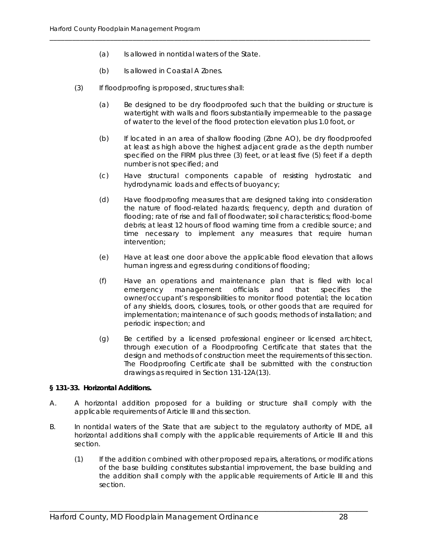(a) Is allowed in nontidal waters of the State.

\_\_\_\_\_\_\_\_\_\_\_\_\_\_\_\_\_\_\_\_\_\_\_\_\_\_\_\_\_\_\_\_\_\_\_\_\_\_\_\_\_\_\_\_\_\_\_\_\_\_\_\_\_\_\_\_\_\_\_\_\_\_\_\_\_\_\_\_\_\_\_\_\_\_\_\_\_\_\_\_\_\_\_\_\_

- (b) Is allowed in Coastal A Zones.
- (3) If floodproofing is proposed, structures shall:
	- (a) Be designed to be dry floodproofed such that the building or structure is watertight with walls and floors substantially impermeable to the passage of water to the level of the flood protection elevation plus 1.0 foot, or
	- (b) If located in an area of shallow flooding (Zone AO), be dry floodproofed at least as high above the highest adjacent grade as the depth number specified on the FIRM plus three (3) feet, or at least five (5) feet if a depth number is not specified; and
	- (c) Have structural components capable of resisting hydrostatic and hydrodynamic loads and effects of buoyancy;
	- (d) Have floodproofing measures that are designed taking into consideration the nature of flood-related hazards; frequency, depth and duration of flooding; rate of rise and fall of floodwater; soil characteristics; flood-borne debris; at least 12 hours of flood warning time from a credible source; and time necessary to implement any measures that require human intervention;
	- (e) Have at least one door above the applicable flood elevation that allows human ingress and egress during conditions of flooding;
	- (f) Have an operations and maintenance plan that is filed with local emergency management officials and that specifies the owner/occupant's responsibilities to monitor flood potential; the location of any shields, doors, closures, tools, or other goods that are required for implementation; maintenance of such goods; methods of installation; and periodic inspection; and
	- (g) Be certified by a licensed professional engineer or licensed architect, through execution of a Floodproofing Certificate that states that the design and methods of construction meet the requirements of this section. The Floodproofing Certificate shall be submitted with the construction drawings as required in Section 131-12A(13).

#### **§ 131-33. Horizontal Additions.**

- A. A horizontal addition proposed for a building or structure shall comply with the applicable requirements of Article III and this section.
- B. In nontidal waters of the State that are subject to the regulatory authority of MDE, all horizontal additions shall comply with the applicable requirements of Article III and this section.

\_\_\_\_\_\_\_\_\_\_\_\_\_\_\_\_\_\_\_\_\_\_\_\_\_\_\_\_\_\_\_\_\_\_\_\_\_\_\_\_\_\_\_\_\_\_\_\_\_\_\_\_\_\_\_\_\_\_\_\_\_\_\_\_\_\_\_\_\_\_\_\_\_\_\_\_\_\_\_\_\_\_\_\_

(1) If the addition combined with other proposed repairs, alterations, or modifications of the base building constitutes substantial improvement, the base building and the addition shall comply with the applicable requirements of Article III and this section.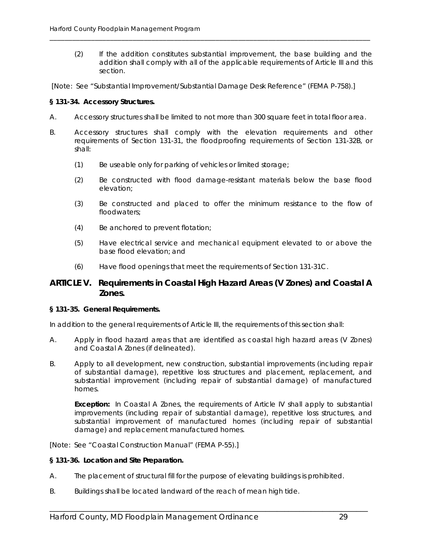- (2) If the addition constitutes substantial improvement, the base building and the addition shall comply with all of the applicable requirements of Article III and this section.
- [Note: See "Substantial Improvement/Substantial Damage Desk Reference" (FEMA P-758).]

\_\_\_\_\_\_\_\_\_\_\_\_\_\_\_\_\_\_\_\_\_\_\_\_\_\_\_\_\_\_\_\_\_\_\_\_\_\_\_\_\_\_\_\_\_\_\_\_\_\_\_\_\_\_\_\_\_\_\_\_\_\_\_\_\_\_\_\_\_\_\_\_\_\_\_\_\_\_\_\_\_\_\_\_\_

#### **§ 131-34. Accessory Structures.**

- A. Accessory structures shall be limited to not more than 300 square feet in total floor area.
- B. Accessory structures shall comply with the elevation requirements and other requirements of Section 131-31, the floodproofing requirements of Section 131-32B, or shall:
	- (1) Be useable only for parking of vehicles or limited storage;
	- (2) Be constructed with flood damage-resistant materials below the base flood elevation;
	- (3) Be constructed and placed to offer the minimum resistance to the flow of floodwaters;
	- (4) Be anchored to prevent flotation;
	- (5) Have electrical service and mechanical equipment elevated to or above the base flood elevation; and
	- (6) Have flood openings that meet the requirements of Section 131-31C.

#### **ARTICLE V. Requirements in Coastal High Hazard Areas (V Zones) and Coastal A Zones.**

#### **§ 131-35. General Requirements.**

In addition to the general requirements of Article III, the requirements of this section shall:

- A. Apply in flood hazard areas that are identified as coastal high hazard areas (V Zones) and Coastal A Zones (if delineated).
- B. Apply to all development, new construction, substantial improvements (including repair of substantial damage), repetitive loss structures and placement, replacement, and substantial improvement (including repair of substantial damage) of manufactured homes.

**Exception:** In Coastal A Zones, the requirements of Article IV shall apply to substantial improvements (including repair of substantial damage), repetitive loss structures, and substantial improvement of manufactured homes (including repair of substantial damage) and replacement manufactured homes.

[Note: See "Coastal Construction Manual" (FEMA P-55).]

#### **§ 131-36. Location and Site Preparation.**

A. The placement of structural fill for the purpose of elevating buildings is prohibited.

\_\_\_\_\_\_\_\_\_\_\_\_\_\_\_\_\_\_\_\_\_\_\_\_\_\_\_\_\_\_\_\_\_\_\_\_\_\_\_\_\_\_\_\_\_\_\_\_\_\_\_\_\_\_\_\_\_\_\_\_\_\_\_\_\_\_\_\_\_\_\_\_\_\_\_\_\_\_\_\_\_\_\_\_

B. Buildings shall be located landward of the reach of mean high tide.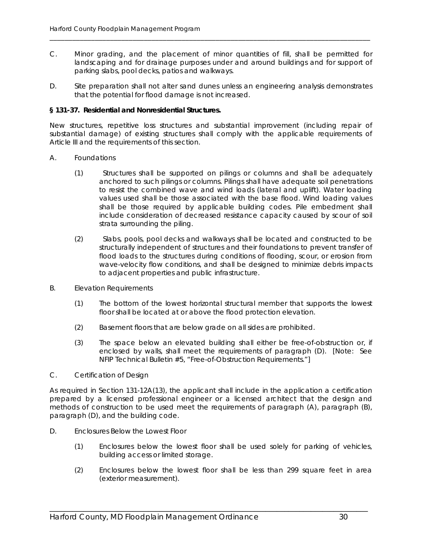C. Minor grading, and the placement of minor quantities of fill, shall be permitted for landscaping and for drainage purposes under and around buildings and for support of parking slabs, pool decks, patios and walkways.

\_\_\_\_\_\_\_\_\_\_\_\_\_\_\_\_\_\_\_\_\_\_\_\_\_\_\_\_\_\_\_\_\_\_\_\_\_\_\_\_\_\_\_\_\_\_\_\_\_\_\_\_\_\_\_\_\_\_\_\_\_\_\_\_\_\_\_\_\_\_\_\_\_\_\_\_\_\_\_\_\_\_\_\_\_

D. Site preparation shall not alter sand dunes unless an engineering analysis demonstrates that the potential for flood damage is not increased.

#### **§ 131-37. Residential and Nonresidential Structures.**

New structures, repetitive loss structures and substantial improvement (including repair of substantial damage) of existing structures shall comply with the applicable requirements of Article III and the requirements of this section.

- A. Foundations
	- (1) Structures shall be supported on pilings or columns and shall be adequately anchored to such pilings or columns. Pilings shall have adequate soil penetrations to resist the combined wave and wind loads (lateral and uplift). Water loading values used shall be those associated with the base flood. Wind loading values shall be those required by applicable building codes. Pile embedment shall include consideration of decreased resistance capacity caused by scour of soil strata surrounding the piling.
	- (2) Slabs, pools, pool decks and walkways shall be located and constructed to be structurally independent of structures and their foundations to prevent transfer of flood loads to the structures during conditions of flooding, scour, or erosion from wave-velocity flow conditions, and shall be designed to minimize debris impacts to adjacent properties and public infrastructure.
- B. Elevation Requirements
	- (1) The bottom of the lowest horizontal structural member that supports the lowest floor shall be located at or above the flood protection elevation.
	- (2) Basement floors that are below grade on all sides are prohibited.
	- (3) The space below an elevated building shall either be free-of-obstruction or, if enclosed by walls, shall meet the requirements of paragraph (D). [Note: See NFIP Technical Bulletin #5, "Free-of-Obstruction Requirements."]
- C. Certification of Design

As required in Section 131-12A(13), the applicant shall include in the application a certification prepared by a licensed professional engineer or a licensed architect that the design and methods of construction to be used meet the requirements of paragraph (A), paragraph (B), paragraph (D), and the building code.

- D. Enclosures Below the Lowest Floor
	- (1) Enclosures below the lowest floor shall be used solely for parking of vehicles, building access or limited storage.
	- (2) Enclosures below the lowest floor shall be less than 299 square feet in area (exterior measurement).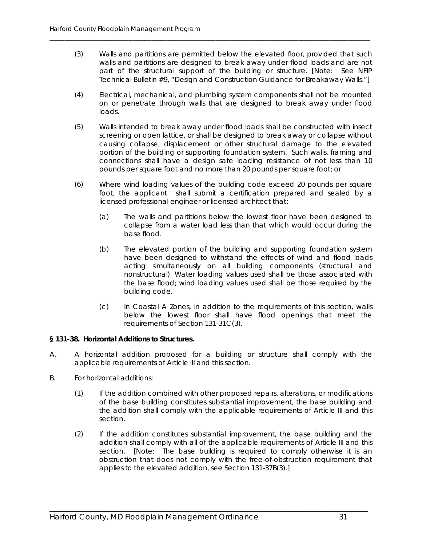(3) Walls and partitions are permitted below the elevated floor, provided that such walls and partitions are designed to break away under flood loads and are not part of the structural support of the building or structure. [Note: See NFIP Technical Bulletin #9, "Design and Construction Guidance for Breakaway Walls."]

\_\_\_\_\_\_\_\_\_\_\_\_\_\_\_\_\_\_\_\_\_\_\_\_\_\_\_\_\_\_\_\_\_\_\_\_\_\_\_\_\_\_\_\_\_\_\_\_\_\_\_\_\_\_\_\_\_\_\_\_\_\_\_\_\_\_\_\_\_\_\_\_\_\_\_\_\_\_\_\_\_\_\_\_\_

- (4) Electrical, mechanical, and plumbing system components shall not be mounted on or penetrate through walls that are designed to break away under flood loads.
- (5) Walls intended to break away under flood loads shall be constructed with insect screening or open lattice, or shall be designed to break away or collapse without causing collapse, displacement or other structural damage to the elevated portion of the building or supporting foundation system. Such walls, framing and connections shall have a design safe loading resistance of not less than 10 pounds per square foot and no more than 20 pounds per square foot; or
- (6) Where wind loading values of the building code exceed 20 pounds per square foot, the applicant shall submit a certification prepared and sealed by a licensed professional engineer or licensed architect that:
	- (a) The walls and partitions below the lowest floor have been designed to collapse from a water load less than that which would occur during the base flood.
	- (b) The elevated portion of the building and supporting foundation system have been designed to withstand the effects of wind and flood loads acting simultaneously on all building components (structural and nonstructural). Water loading values used shall be those associated with the base flood; wind loading values used shall be those required by the building code.
	- (c) In Coastal A Zones, in addition to the requirements of this section, walls below the lowest floor shall have flood openings that meet the requirements of Section 131-31C(3).

#### **§ 131-38. Horizontal Additions to Structures.**

- A. A horizontal addition proposed for a building or structure shall comply with the applicable requirements of Article III and this section.
- B. For horizontal additions:
	- (1) If the addition combined with other proposed repairs, alterations, or modifications of the base building constitutes substantial improvement, the base building and the addition shall comply with the applicable requirements of Article III and this section.
	- (2) If the addition constitutes substantial improvement, the base building and the addition shall comply with all of the applicable requirements of Article III and this section. [Note: The base building is required to comply otherwise it is an obstruction that does not comply with the free-of-obstruction requirement that applies to the elevated addition, see Section 131-37B(3).]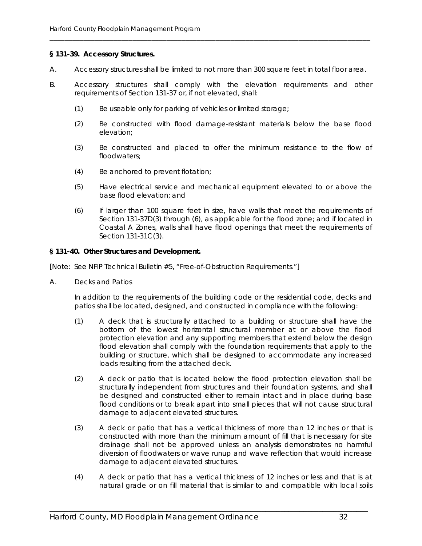#### **§ 131-39. Accessory Structures.**

A. Accessory structures shall be limited to not more than 300 square feet in total floor area.

\_\_\_\_\_\_\_\_\_\_\_\_\_\_\_\_\_\_\_\_\_\_\_\_\_\_\_\_\_\_\_\_\_\_\_\_\_\_\_\_\_\_\_\_\_\_\_\_\_\_\_\_\_\_\_\_\_\_\_\_\_\_\_\_\_\_\_\_\_\_\_\_\_\_\_\_\_\_\_\_\_\_\_\_\_

- B. Accessory structures shall comply with the elevation requirements and other requirements of Section 131-37 or, if not elevated, shall:
	- (1) Be useable only for parking of vehicles or limited storage;
	- (2) Be constructed with flood damage-resistant materials below the base flood elevation;
	- (3) Be constructed and placed to offer the minimum resistance to the flow of floodwaters;
	- (4) Be anchored to prevent flotation;
	- (5) Have electrical service and mechanical equipment elevated to or above the base flood elevation; and
	- (6) If larger than 100 square feet in size, have walls that meet the requirements of Section 131-37D(3) through (6), as applicable for the flood zone; and if located in Coastal A Zones, walls shall have flood openings that meet the requirements of Section 131-31C(3).

#### **§ 131-40. Other Structures and Development.**

[Note: See NFIP Technical Bulletin #5, "Free-of-Obstruction Requirements."]

A. Decks and Patios

In addition to the requirements of the building code or the residential code, decks and patios shall be located, designed, and constructed in compliance with the following:

- (1) A deck that is structurally attached to a building or structure shall have the bottom of the lowest horizontal structural member at or above the flood protection elevation and any supporting members that extend below the design flood elevation shall comply with the foundation requirements that apply to the building or structure, which shall be designed to accommodate any increased loads resulting from the attached deck.
- (2) A deck or patio that is located below the flood protection elevation shall be structurally independent from structures and their foundation systems, and shall be designed and constructed either to remain intact and in place during base flood conditions or to break apart into small pieces that will not cause structural damage to adjacent elevated structures.
- (3) A deck or patio that has a vertical thickness of more than 12 inches or that is constructed with more than the minimum amount of fill that is necessary for site drainage shall not be approved unless an analysis demonstrates no harmful diversion of floodwaters or wave runup and wave reflection that would increase damage to adjacent elevated structures.
- (4) A deck or patio that has a vertical thickness of 12 inches or less and that is at natural grade or on fill material that is similar to and compatible with local soils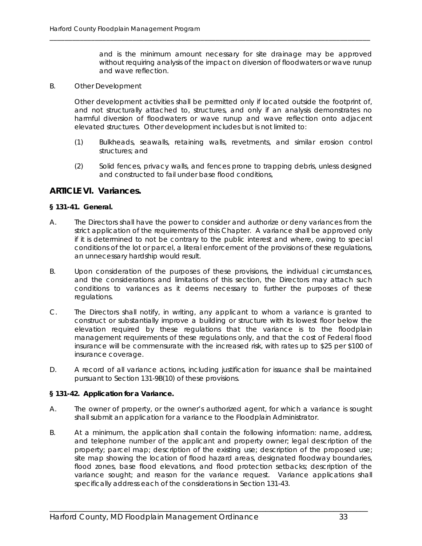and is the minimum amount necessary for site drainage may be approved without requiring analysis of the impact on diversion of floodwaters or wave runup and wave reflection.

B. Other Development

Other development activities shall be permitted only if located outside the footprint of, and not structurally attached to, structures, and only if an analysis demonstrates no harmful diversion of floodwaters or wave runup and wave reflection onto adjacent elevated structures. Other development includes but is not limited to:

\_\_\_\_\_\_\_\_\_\_\_\_\_\_\_\_\_\_\_\_\_\_\_\_\_\_\_\_\_\_\_\_\_\_\_\_\_\_\_\_\_\_\_\_\_\_\_\_\_\_\_\_\_\_\_\_\_\_\_\_\_\_\_\_\_\_\_\_\_\_\_\_\_\_\_\_\_\_\_\_\_\_\_\_\_

- (1) Bulkheads, seawalls, retaining walls, revetments, and similar erosion control structures; and
- (2) Solid fences, privacy walls, and fences prone to trapping debris, unless designed and constructed to fail under base flood conditions,

#### **ARTICLE VI. Variances.**

#### **§ 131-41. General.**

- A. The Directors shall have the power to consider and authorize or deny variances from the strict application of the requirements of this Chapter. A variance shall be approved only if it is determined to not be contrary to the public interest and where, owing to special conditions of the lot or parcel, a literal enforcement of the provisions of these regulations, an unnecessary hardship would result.
- B. Upon consideration of the purposes of these provisions, the individual circumstances, and the considerations and limitations of this section, the Directors may attach such conditions to variances as it deems necessary to further the purposes of these regulations.
- C. The Directors shall notify, in writing, any applicant to whom a variance is granted to construct or substantially improve a building or structure with its lowest floor below the elevation required by these regulations that the variance is to the floodplain management requirements of these regulations only, and that the cost of Federal flood insurance will be commensurate with the increased risk, with rates up to \$25 per \$100 of insurance coverage.
- D. A record of all variance actions, including justification for issuance shall be maintained pursuant to Section 131-9B(10) of these provisions.

#### **§ 131-42. Application for a Variance.**

- A. The owner of property, or the owner's authorized agent, for which a variance is sought shall submit an application for a variance to the Floodplain Administrator.
- B. At a minimum, the application shall contain the following information: name, address, and telephone number of the applicant and property owner; legal description of the property; parcel map; description of the existing use; description of the proposed use; site map showing the location of flood hazard areas, designated floodway boundaries, flood zones, base flood elevations, and flood protection setbacks; description of the variance sought; and reason for the variance request. Variance applications shall specifically address each of the considerations in Section 131-43.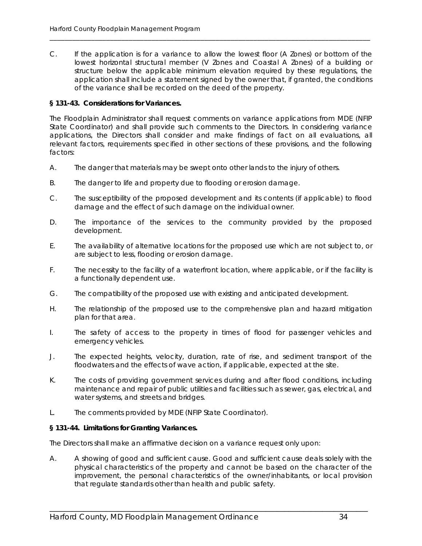C. If the application is for a variance to allow the lowest floor (A Zones) or bottom of the lowest horizontal structural member (V Zones and Coastal A Zones) of a building or structure below the applicable minimum elevation required by these regulations, the application shall include a statement signed by the owner that, if granted, the conditions of the variance shall be recorded on the deed of the property.

\_\_\_\_\_\_\_\_\_\_\_\_\_\_\_\_\_\_\_\_\_\_\_\_\_\_\_\_\_\_\_\_\_\_\_\_\_\_\_\_\_\_\_\_\_\_\_\_\_\_\_\_\_\_\_\_\_\_\_\_\_\_\_\_\_\_\_\_\_\_\_\_\_\_\_\_\_\_\_\_\_\_\_\_\_

#### **§ 131-43. Considerations for Variances.**

The Floodplain Administrator shall request comments on variance applications from MDE (NFIP State Coordinator) and shall provide such comments to the Directors. In considering variance applications, the Directors shall consider and make findings of fact on all evaluations, all relevant factors, requirements specified in other sections of these provisions, and the following factors:

- A. The danger that materials may be swept onto other lands to the injury of others.
- B. The danger to life and property due to flooding or erosion damage.
- C. The susceptibility of the proposed development and its contents (if applicable) to flood damage and the effect of such damage on the individual owner.
- D. The importance of the services to the community provided by the proposed development.
- E. The availability of alternative locations for the proposed use which are not subject to, or are subject to less, flooding or erosion damage.
- F. The necessity to the facility of a waterfront location, where applicable, or if the facility is a functionally dependent use.
- G. The compatibility of the proposed use with existing and anticipated development.
- H. The relationship of the proposed use to the comprehensive plan and hazard mitigation plan for that area.
- I. The safety of access to the property in times of flood for passenger vehicles and emergency vehicles.
- J. The expected heights, velocity, duration, rate of rise, and sediment transport of the floodwaters and the effects of wave action, if applicable, expected at the site.
- K. The costs of providing government services during and after flood conditions, including maintenance and repair of public utilities and facilities such as sewer, gas, electrical, and water systems, and streets and bridges.
- L. The comments provided by MDE (NFIP State Coordinator).

#### **§ 131-44. Limitations for Granting Variances.**

The Directors shall make an affirmative decision on a variance request only upon:

A. A showing of good and sufficient cause. Good and sufficient cause deals solely with the physical characteristics of the property and cannot be based on the character of the improvement, the personal characteristics of the owner/inhabitants, or local provision that regulate standards other than health and public safety.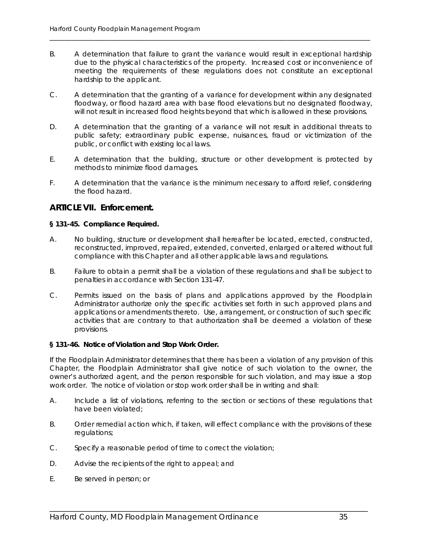B. A determination that failure to grant the variance would result in exceptional hardship due to the physical characteristics of the property. Increased cost or inconvenience of meeting the requirements of these regulations does not constitute an exceptional hardship to the applicant.

\_\_\_\_\_\_\_\_\_\_\_\_\_\_\_\_\_\_\_\_\_\_\_\_\_\_\_\_\_\_\_\_\_\_\_\_\_\_\_\_\_\_\_\_\_\_\_\_\_\_\_\_\_\_\_\_\_\_\_\_\_\_\_\_\_\_\_\_\_\_\_\_\_\_\_\_\_\_\_\_\_\_\_\_\_

- C. A determination that the granting of a variance for development within any designated floodway, or flood hazard area with base flood elevations but no designated floodway, will not result in increased flood heights beyond that which is allowed in these provisions.
- D. A determination that the granting of a variance will not result in additional threats to public safety; extraordinary public expense, nuisances, fraud or victimization of the public, or conflict with existing local laws.
- E. A determination that the building, structure or other development is protected by methods to minimize flood damages.
- F. A determination that the variance is the minimum necessary to afford relief, considering the flood hazard.

#### **ARTICLE VII. Enforcement.**

#### **§ 131-45. Compliance Required.**

- A. No building, structure or development shall hereafter be located, erected, constructed, reconstructed, improved, repaired, extended, converted, enlarged or altered without full compliance with this Chapter and all other applicable laws and regulations.
- B. Failure to obtain a permit shall be a violation of these regulations and shall be subject to penalties in accordance with Section 131-47.
- C. Permits issued on the basis of plans and applications approved by the Floodplain Administrator authorize only the specific activities set forth in such approved plans and applications or amendments thereto. Use, arrangement, or construction of such specific activities that are contrary to that authorization shall be deemed a violation of these provisions.

#### **§ 131-46. Notice of Violation and Stop Work Order.**

If the Floodplain Administrator determines that there has been a violation of any provision of this Chapter, the Floodplain Administrator shall give notice of such violation to the owner, the owner's authorized agent, and the person responsible for such violation, and may issue a stop work order. The notice of violation or stop work order shall be in writing and shall:

- A. Include a list of violations, referring to the section or sections of these regulations that have been violated;
- B. Order remedial action which, if taken, will effect compliance with the provisions of these regulations;

- C. Specify a reasonable period of time to correct the violation;
- D. Advise the recipients of the right to appeal; and
- E. Be served in person; or